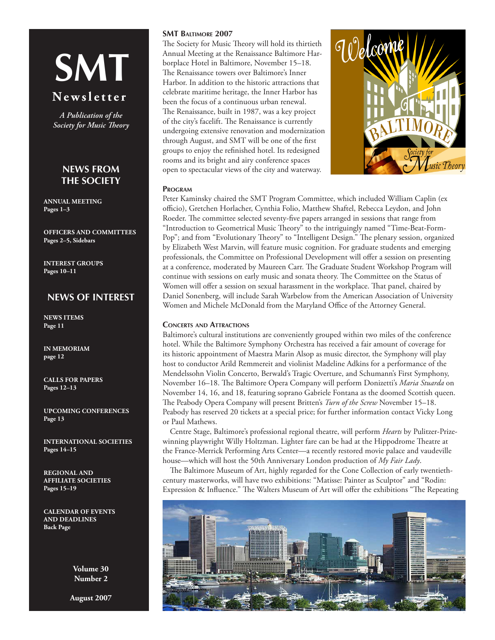# **SMT**

# **N e w s l e t t e r**

*A Publication of the Society for Music Theory*

# **News From the Society**

**ANNUAL MEETING Pages 1–3**

**Officers and Committees Pages 2–5, Sidebars**

**Interest Groups Pages 10–11**

# **NEWS OF INTEREST**

**News items Page 11**

**IN MEMORIAM page 12**

**CaLLS FOR PAPERS Pages 12–13**

**UPCOMING CONFERENCES Page 13**

**INTERNATIONAL SOCIETIES Pages 14–15**

**REGIONAL AND AFFILIATE SOCIETIES Pages 15–19**

**CALENDAR OF EVENTS AND DEADLINES Back Page**

> **Volume 30 Number 2**

**August 2007**

## **SMT Baltimore 2007**

The Society for Music Theory will hold its thirtieth Annual Meeting at the Renaissance Baltimore Harborplace Hotel in Baltimore, November 15–18. The Renaissance towers over Baltimore's Inner Harbor. In addition to the historic attractions that celebrate maritime heritage, the Inner Harbor has been the focus of a continuous urban renewal. The Renaissance, built in 1987, was a key project of the city's facelift. The Renaissance is currently undergoing extensive renovation and modernization through August, and SMT will be one of the first groups to enjoy the refinished hotel. Its redesigned rooms and its bright and airy conference spaces open to spectacular views of the city and waterway.



## **Program**

Peter Kaminsky chaired the SMT Program Committee, which included William Caplin (ex officio), Gretchen Horlacher, Cynthia Folio, Matthew Shaftel, Rebecca Leydon, and John Roeder. The committee selected seventy-five papers arranged in sessions that range from "Introduction to Geometrical Music Theory" to the intriguingly named "Time-Beat-Form-Pop"; and from "Evolutionary Theory" to "Intelligent Design." The plenary session, organized by Elizabeth West Marvin, will feature music cognition. For graduate students and emerging professionals, the Committee on Professional Development will offer a session on presenting at a conference, moderated by Maureen Carr. The Graduate Student Workshop Program will continue with sessions on early music and sonata theory. The Committee on the Status of Women will offer a session on sexual harassment in the workplace. That panel, chaired by Daniel Sonenberg, will include Sarah Warbelow from the American Association of University Women and Michele McDonald from the Maryland Office of the Attorney General.

## **Concerts and Attractions**

Baltimore's cultural institutions are conveniently grouped within two miles of the conference hotel. While the Baltimore Symphony Orchestra has received a fair amount of coverage for its historic appointment of Maestra Marin Alsop as music director, the Symphony will play host to conductor Arild Remmereit and violinist Madeline Adkins for a performance of the Mendelssohn Violin Concerto, Berwald's Tragic Overture, and Schumann's First Symphony, November 16–18. The Baltimore Opera Company will perform Donizetti's *Maria Stuarda* on November 14, 16, and 18, featuring soprano Gabriele Fontana as the doomed Scottish queen. The Peabody Opera Company will present Britten's *Turn of the Screw* November 15–18. Peabody has reserved 20 tickets at a special price; for further information contact Vicky Long or Paul Mathews.

Centre Stage, Baltimore's professional regional theatre, will perform *Hearts* by Pulitzer-Prizewinning playwright Willy Holtzman. Lighter fare can be had at the [Hippodrome Theatre at](http://public.eventbooking.com/www.france-merrickpac.com)  [the France-Merrick Performing Arts Center](http://public.eventbooking.com/www.france-merrickpac.com)—a recently restored movie palace and vaudeville house—which will host the 50th Anniversary London production of *My Fair Lady*.

The Baltimore Museum of Art, highly regarded for the Cone Collection of early twentiethcentury masterworks, will have two exhibitions: "Matisse: Painter as Sculptor" and "Rodin: Expression & Influence." The Walters Museum of Art will offer the exhibitions "The Repeating

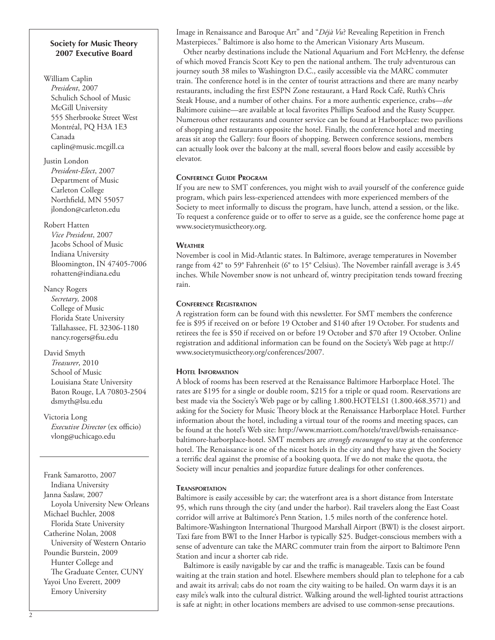## **Society for Music Theory 2007 Executive Board**

William Caplin *President*, 2007 Schulich School of Music McGill University 555 Sherbrooke Street West Montréal, PQ H3A 1E3 Canada [caplin@music.mcgill.ca](mailto:caplin@music.mcgill.ca )

Justin London *President-Elect*, 2007 Department of Music Carleton College Northfield, MN 55057 [jlondon@carleton.edu](mailto:jlondon@carleton.edu)

Robert Hatten *Vice President*, 2007 Jacobs School of Music Indiana University Bloomington, IN 47405-7006 [rohatten@indiana.edu](mailto:rohatten@indiana.edu)

Nancy Rogers *Secretary,* 2008 College of Music Florida State University Tallahassee, FL 32306-1180 [nancy.rogers@fsu.edu](mailto:nancy.rogers@fsu.edu)

David Smyth *Treasurer*, 2010 School of Music Louisiana State University Baton Rouge, LA 70803-2504 [dsmyth@lsu.edu](mailto:dsmyth@lsu.edu)

Victoria Long *Executive Director* (ex officio) [vlong@uchicago.edu](mailto:vlong@uchicago.edu)

Frank Samarotto, 2007 Indiana University Janna Saslaw, 2007 Loyola University New Orleans Michael Buchler, 2008 Florida State University Catherine Nolan, 2008 University of Western Ontario Poundie Burstein, 2009 Hunter College and The Graduate Center, CUNY Yayoi Uno Everett, 2009 Emory University

Image in Renaissance and Baroque Art" and "*Déjà Vu*? Revealing Repetition in French Masterpieces." Baltimore is also home to the American Visionary Arts Museum.

Other nearby destinations include the National Aquarium and Fort McHenry, the defense of which moved Francis Scott Key to pen the national anthem. The truly adventurous can journey south 38 miles to Washington D.C., easily accessible via the MARC commuter train. The conference hotel is in the center of tourist attractions and there are many nearby restaurants, including the first ESPN Zone restaurant, a Hard Rock Café, Ruth's Chris Steak House, and a number of other chains. For a more authentic experience, crabs—*the* Baltimore cuisine—are available at local favorites Phillips Seafood and the Rusty Scupper. Numerous other restaurants and counter service can be found at Harborplace: two pavilions of shopping and restaurants opposite the hotel. Finally, the conference hotel and meeting areas sit atop the Gallery: four floors of shopping. Between conference sessions, members can actually look over the balcony at the mall, several floors below and easily accessible by elevator.

# **Conference Guide Program**

If you are new to SMT conferences, you might wish to avail yourself of the conference guide program, which pairs less-experienced attendees with more experienced members of the Society to meet informally to discuss the program, have lunch, attend a session, or the like. To request a conference guide or to offer to serve as a guide, see the conference home page at www.societymusictheory.org.

## **Weather**

November is cool in Mid-Atlantic states. In Baltimore, average temperatures in November range from 42° to 59° Fahrenheit (6° to 15° Celsius). The November rainfall average is 3.45 inches. While November snow is not unheard of, wintry precipitation tends toward freezing rain.

## **Conference Registration**

A registration form can be found with this newsletter. For SMT members the conference fee is \$95 if received on or before 19 October and \$140 after 19 October. For students and retirees the fee is \$50 if received on or before 19 October and \$70 after 19 October. Online registration and additional information can be found on the Society's Web page at [http://](http://www.societymusictheory.org/conferences/2007) [www.societymusictheory.org/conferences/2007.](http://www.societymusictheory.org/conferences/2007)

# **Hotel Information**

A block of rooms has been reserved at the Renaissance Baltimore Harborplace Hotel. The rates are \$195 for a single or double room, \$215 for a triple or quad room. Reservations are best made via the [Society's Web page](Society�s Web page ) or by calling 1.800.HOTELS1 (1.800.468.3571) and asking for the Society for Music Theory block at the Renaissance Harborplace Hotel. Further information about the hotel, including a virtual tour of the rooms and meeting spaces, can be found at the hotel's Web site: [http://www.marriott.com/hotels/travel/bwish-renaissance](http://www.marriott.com/hotels/travel/bwish-renaissance-baltimore-harborplace-hotel)[baltimore-harborplace-hotel](http://www.marriott.com/hotels/travel/bwish-renaissance-baltimore-harborplace-hotel). SMT members are *strongly encouraged* to stay at the conference hotel. The Renaissance is one of the nicest hotels in the city and they have given the Society a terrific deal against the promise of a booking quota. If we do not make the quota, the Society will incur penalties and jeopardize future dealings for other conferences.

## **Transportation**

Baltimore is easily accessible by car; the waterfront area is a short distance from Interstate 95, which runs through the city (and under the harbor). Rail travelers along the East Coast corridor will arrive at Baltimore's Penn Station, 1.5 miles north of the conference hotel. Baltimore-Washington International Thurgood Marshall Airport (BWI) is the closest airport. Taxi fare from BWI to the Inner Harbor is typically \$25. Budget-conscious members with a sense of adventure can take the MARC commuter train from the airport to Baltimore Penn Station and incur a shorter cab ride.

Baltimore is easily navigable by car and the traffic is manageable. Taxis can be found waiting at the train station and hotel. Elsewhere members should plan to telephone for a cab and await its arrival; cabs do not roam the city waiting to be hailed. On warm days it is an easy mile's walk into the cultural district. Walking around the well-lighted tourist attractions is safe at night; in other locations members are advised to use common-sense precautions.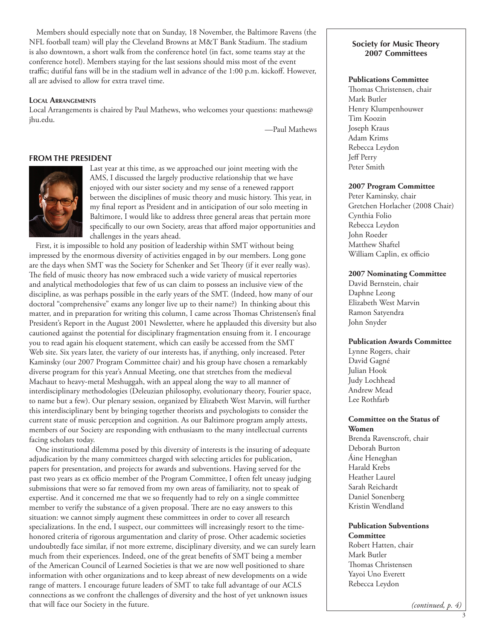Members should especially note that on Sunday, 18 November, the Baltimore Ravens (the NFL football team) will play the Cleveland Browns at M&T Bank Stadium. The stadium is also downtown, a short walk from the conference hotel (in fact, some teams stay at the conference hotel). Members staying for the last sessions should miss most of the event traffic; dutiful fans will be in the stadium well in advance of the 1:00 p.m. kickoff. However, all are advised to allow for extra travel time.

#### **Local Arrangements**

Local Arrangements is chaired by Paul Mathews, who welcomes your questions: [mathews@](mailto:mathews@jhu.edu) [jhu.edu](mailto:mathews@jhu.edu).

—Paul Mathews

#### **FROM THE PRESIDENT**



Last year at this time, as we approached our joint meeting with the AMS, I discussed the largely productive relationship that we have enjoyed with our sister society and my sense of a renewed rapport between the disciplines of music theory and music history. This year, in my final report as President and in anticipation of our solo meeting in Baltimore, I would like to address three general areas that pertain more specifically to our own Society, areas that afford major opportunities and challenges in the years ahead.

First, it is impossible to hold any position of leadership within SMT without being impressed by the enormous diversity of activities engaged in by our members. Long gone are the days when SMT was the Society for Schenker and Set Theory (if it ever really was). The field of music theory has now embraced such a wide variety of musical repertories and analytical methodologies that few of us can claim to possess an inclusive view of the discipline, as was perhaps possible in the early years of the SMT. (Indeed, how many of our doctoral "comprehensive" exams any longer live up to their name?) In thinking about this matter, and in preparation for writing this column, I came across Thomas Christensen's final President's Report in the August 2001 Newsletter, where he applauded this diversity but also cautioned against the potential for disciplinary fragmentation ensuing from it. I encourage you to read again his eloquent statement, which can easily be accessed from the SMT Web site. Six years later, the variety of our interests has, if anything, only increased. Peter Kaminsky (our 2007 Program Committee chair) and his group have chosen a remarkably diverse program for this year's Annual Meeting, one that stretches from the medieval Machaut to heavy-metal Meshuggah, with an appeal along the way to all manner of interdisciplinary methodologies (Deleuzian philosophy, evolutionary theory, Fourier space, to name but a few). Our plenary session, organized by Elizabeth West Marvin, will further this interdisciplinary bent by bringing together theorists and psychologists to consider the current state of music perception and cognition. As our Baltimore program amply attests, members of our Society are responding with enthusiasm to the many intellectual currents facing scholars today.

One institutional dilemma posed by this diversity of interests is the insuring of adequate adjudication by the many committees charged with selecting articles for publication, papers for presentation, and projects for awards and subventions. Having served for the past two years as ex officio member of the Program Committee, I often felt uneasy judging submissions that were so far removed from my own areas of familiarity, not to speak of expertise. And it concerned me that we so frequently had to rely on a single committee member to verify the substance of a given proposal. There are no easy answers to this situation: we cannot simply augment these committees in order to cover all research specializations. In the end, I suspect, our committees will increasingly resort to the timehonored criteria of rigorous argumentation and clarity of prose. Other academic societies undoubtedly face similar, if not more extreme, disciplinary diversity, and we can surely learn much from their experiences. Indeed, one of the great benefits of SMT being a member of the American Council of Learned Societies is that we are now well positioned to share information with other organizations and to keep abreast of new developments on a wide range of matters. I encourage future leaders of SMT to take full advantage of our ACLS connections as we confront the challenges of diversity and the host of yet unknown issues that will face our Society in the future.

## **Society for Music Theory 2007 Committees**

# **Publications Committee**

Thomas Christensen, chair Mark Butler Henry Klumpenhouwer Tim Koozin Joseph Kraus Adam Krims Rebecca Leydon Jeff Perry Peter Smith

## **2007 Program Committee**

Peter Kaminsky, chair Gretchen Horlacher (2008 Chair) Cynthia Folio Rebecca Leydon John Roeder Matthew Shaftel William Caplin, ex officio

#### **2007 Nominating Committee**

David Bernstein, chair Daphne Leong Elizabeth West Marvin Ramon Satyendra John Snyder

## **Publication Awards Committee**

Lynne Rogers, chair David Gagné Julian Hook Judy Lochhead Andrew Mead Lee Rothfarb

## **Committee on the Status of Women**

Brenda Ravenscroft, chair Deborah Burton Áine Heneghan Harald Krebs Heather Laurel Sarah Reichardt Daniel Sonenberg Kristin Wendland

## **Publication Subventions Committee**

Robert Hatten, chair Mark Butler Thomas Christensen Yayoi Uno Everett Rebecca Leydon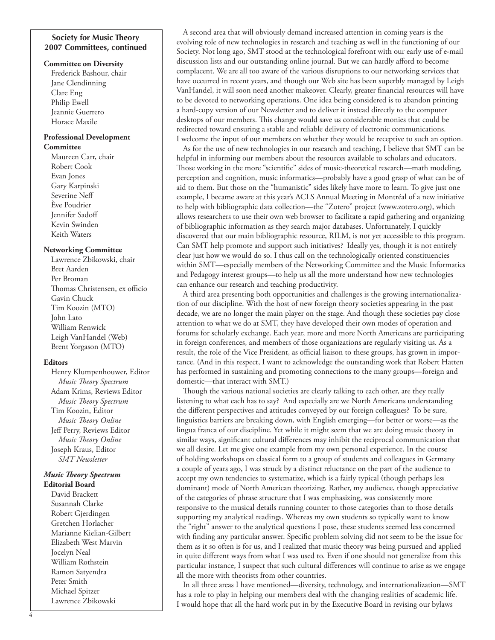## **Society for Music Theory 2007 Committees, continued**

#### **Committee on Diversity**

Frederick Bashour, chair Jane Clendinning Clare Eng Philip Ewell Jeannie Guerrero Horace Maxile

#### **Professional Development Committee**

Maureen Carr, chair Robert Cook Evan Jones Gary Karpinski Severine Neff Ève Poudrier Jennifer Sadoff Kevin Swinden Keith Waters

#### **Networking Committee**

Lawrence Zbikowski, chair Bret Aarden Per Broman Thomas Christensen, ex officio Gavin Chuck Tim Koozin (MTO) John Lato William Renwick Leigh VanHandel (Web) Brent Yorgason (MTO)

## **Editors**

Henry Klumpenhouwer, Editor *Music Theory Spectrum* Adam Krims, Reviews Editor *Music Theory Spectrum* Tim Koozin, Editor *Music Theory Online* Jeff Perry, Reviews Editor *Music Theory Online* Joseph Kraus, Editor *SMT Newsletter*

#### *Music Theory Spectrum* **Editorial Board**

David Brackett Susannah Clarke Robert Gjerdingen Gretchen Horlacher Marianne Kielian-Gilbert Elizabeth West Marvin Jocelyn Neal William Rothstein Ramon Satyendra Peter Smith Michael Spitzer Lawrence Zbikowski

A second area that will obviously demand increased attention in coming years is the evolving role of new technologies in research and teaching as well in the functioning of our Society. Not long ago, SMT stood at the technological forefront with our early use of e-mail discussion lists and our outstanding online journal. But we can hardly afford to become complacent. We are all too aware of the various disruptions to our networking services that have occurred in recent years, and though our Web site has been superbly managed by Leigh VanHandel, it will soon need another makeover. Clearly, greater financial resources will have to be devoted to networking operations. One idea being considered is to abandon printing a hard-copy version of our Newsletter and to deliver it instead directly to the computer desktops of our members. This change would save us considerable monies that could be redirected toward ensuring a stable and reliable delivery of electronic communications. I welcome the input of our members on whether they would be receptive to such an option.

As for the use of new technologies in our research and teaching, I believe that SMT can be helpful in informing our members about the resources available to scholars and educators. Those working in the more "scientific" sides of music-theoretical research—math modeling, perception and cognition, music informatics—probably have a good grasp of what can be of aid to them. But those on the "humanistic" sides likely have more to learn. To give just one example, I became aware at this year's ACLS Annual Meeting in Montréal of a new initiative to help with bibliographic data collection—the "Zotero" project (www.zotero.org), which allows researchers to use their own web browser to facilitate a rapid gathering and organizing of bibliographic information as they search major databases. Unfortunately, I quickly discovered that our main bibliographic resource, RILM, is not yet accessible to this program. Can SMT help promote and support such initiatives? Ideally yes, though it is not entirely clear just how we would do so. I thus call on the technologically oriented constituencies within SMT—especially members of the Networking Committee and the Music Informatics and Pedagogy interest groups—to help us all the more understand how new technologies can enhance our research and teaching productivity.

A third area presenting both opportunities and challenges is the growing internationalization of our discipline. With the host of new foreign theory societies appearing in the past decade, we are no longer the main player on the stage. And though these societies pay close attention to what we do at SMT, they have developed their own modes of operation and forums for scholarly exchange. Each year, more and more North Americans are participating in foreign conferences, and members of those organizations are regularly visiting us. As a result, the role of the Vice President, as official liaison to these groups, has grown in importance. (And in this respect, I want to acknowledge the outstanding work that Robert Hatten has performed in sustaining and promoting connections to the many groups—foreign and domestic—that interact with SMT.)

Though the various national societies are clearly talking to each other, are they really listening to what each has to say? And especially are we North Americans understanding the different perspectives and attitudes conveyed by our foreign colleagues? To be sure, linguistics barriers are breaking down, with English emerging—for better or worse—as the lingua franca of our discipline. Yet while it might seem that we are doing music theory in similar ways, significant cultural differences may inhibit the reciprocal communication that we all desire. Let me give one example from my own personal experience. In the course of holding workshops on classical form to a group of students and colleagues in Germany a couple of years ago, I was struck by a distinct reluctance on the part of the audience to accept my own tendencies to systematize, which is a fairly typical (though perhaps less dominant) mode of North American theorizing. Rather, my audience, though appreciative of the categories of phrase structure that I was emphasizing, was consistently more responsive to the musical details running counter to those categories than to those details supporting my analytical readings. Whereas my own students so typically want to know the "right" answer to the analytical questions I pose, these students seemed less concerned with finding any particular answer. Specific problem solving did not seem to be the issue for them as it so often is for us, and I realized that music theory was being pursued and applied in quite different ways from what I was used to. Even if one should not generalize from this particular instance, I suspect that such cultural differences will continue to arise as we engage all the more with theorists from other countries.

In all three areas I have mentioned—diversity, technology, and internationalization—SMT has a role to play in helping our members deal with the changing realities of academic life. I would hope that all the hard work put in by the Executive Board in revising our bylaws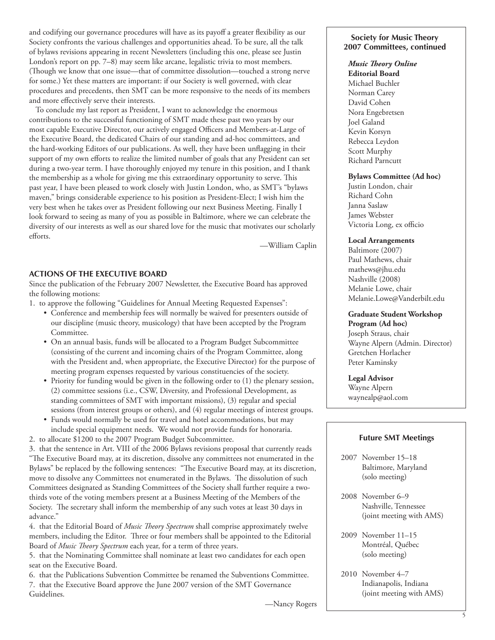and codifying our governance procedures will have as its payoff a greater flexibility as our Society confronts the various challenges and opportunities ahead. To be sure, all the talk of bylaws revisions appearing in recent Newsletters (including this one, please see Justin London's report on pp. 7–8) may seem like arcane, legalistic trivia to most members. (Though we know that one issue—that of committee dissolution—touched a strong nerve for some.) Yet these matters are important: if our Society is well governed, with clear procedures and precedents, then SMT can be more responsive to the needs of its members and more effectively serve their interests.

To conclude my last report as President, I want to acknowledge the enormous contributions to the successful functioning of SMT made these past two years by our most capable Executive Director, our actively engaged Officers and Members-at-Large of the Executive Board, the dedicated Chairs of our standing and ad-hoc committees, and the hard-working Editors of our publications. As well, they have been unflagging in their support of my own efforts to realize the limited number of goals that any President can set during a two-year term. I have thoroughly enjoyed my tenure in this position, and I thank the membership as a whole for giving me this extraordinary opportunity to serve. This past year, I have been pleased to work closely with Justin London, who, as SMT's "bylaws maven," brings considerable experience to his position as President-Elect; I wish him the very best when he takes over as President following our next Business Meeting. Finally I look forward to seeing as many of you as possible in Baltimore, where we can celebrate the diversity of our interests as well as our shared love for the music that motivates our scholarly efforts.

—William Caplin

## **ACTIONS OF THE EXECUTIVE BOARD**

Since the publication of the February 2007 Newsletter, the Executive Board has approved the following motions:

- 1. to approve the following "Guidelines for Annual Meeting Requested Expenses":
	- Conference and membership fees will normally be waived for presenters outside of our discipline (music theory, musicology) that have been accepted by the Program Committee.
	- On an annual basis, funds will be allocated to a Program Budget Subcommittee (consisting of the current and incoming chairs of the Program Committee, along with the President and, when appropriate, the Executive Director) for the purpose of meeting program expenses requested by various constituencies of the society.
	- Priority for funding would be given in the following order to (1) the plenary session, (2) committee sessions (i.e., CSW, Diversity, and Professional Development, as standing committees of SMT with important missions), (3) regular and special sessions (from interest groups or others), and (4) regular meetings of interest groups.
	- Funds would normally be used for travel and hotel accommodations, but may include special equipment needs. We would not provide funds for honoraria.
- 2. to allocate \$1200 to the 2007 Program Budget Subcommittee.

3. that the sentence in Art. VIII of the 2006 Bylaws revisions proposal that currently reads "The Executive Board may, at its discretion, dissolve any committees not enumerated in the Bylaws" be replaced by the following sentences: "The Executive Board may, at its discretion, move to dissolve any Committees not enumerated in the Bylaws. The dissolution of such Committees designated as Standing Committees of the Society shall further require a twothirds vote of the voting members present at a Business Meeting of the Members of the Society. The secretary shall inform the membership of any such votes at least 30 days in advance."

4. that the Editorial Board of *Music Theory Spectrum* shall comprise approximately twelve members, including the Editor. Three or four members shall be appointed to the Editorial Board of *Music Theory Spectrum* each year, for a term of three years.

5. that the Nominating Committee shall nominate at least two candidates for each open seat on the Executive Board.

6. that the Publications Subvention Committee be renamed the Subventions Committee. 7. that the Executive Board approve the June 2007 version of the SMT Governance Guidelines.

## **Society for Music Theory 2007 Committees, continued**

## *Music Theory Online*

**Editorial Board** Michael Buchler Norman Carey David Cohen Nora Engebretsen Joel Galand Kevin Korsyn Rebecca Leydon Scott Murphy Richard Parncutt

## **Bylaws Committee (Ad hoc)**

Justin London, chair Richard Cohn Janna Saslaw James Webster Victoria Long, ex officio

## **Local Arrangements**

Baltimore (2007) Paul Mathews, chair [mathews@jhu.edu](mailto:mathews@jhu.edu) Nashville (2008) Melanie Lowe, chair [Melanie.Lowe@Vanderbilt.edu](mailto:Melanie.Lowe@Vanderbilt.edu )

#### **Graduate Student Workshop**

**Program (Ad hoc)** Joseph Straus, chair Wayne Alpern (Admin. Director) Gretchen Horlacher Peter Kaminsky

## **Legal Advisor**

Wayne Alpern waynealp@aol.com

## **Future SMT Meetings**

- 2007 November 15–18 Baltimore, Maryland (solo meeting)
- 2008 November 6–9 Nashville, Tennessee (joint meeting with AMS)
- 2009 November 11–15 Montréal, Québec (solo meeting)
- 2010 November 4–7 Indianapolis, Indiana (joint meeting with AMS)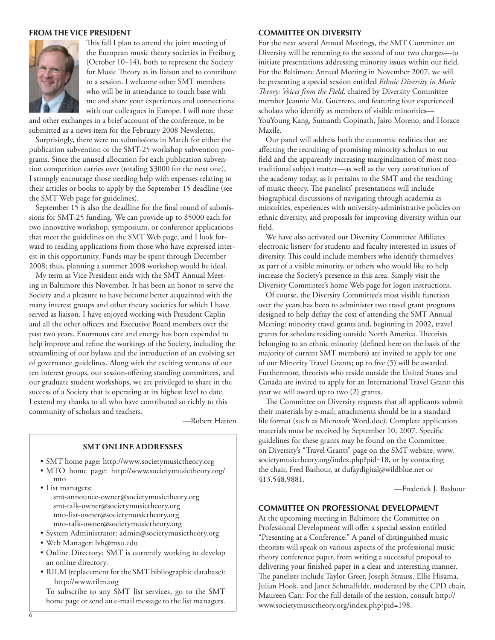#### **FROM THE VICE PRESIDENT**



This fall I plan to attend the joint meeting of the European music theory societies in Freiburg (October 10−14), both to represent the Society for Music Theory as its liaison and to contribute to a session. I welcome other SMT members who will be in attendance to touch base with me and share your experiences and connections with our colleagues in Europe. I will note these

and other exchanges in a brief account of the conference, to be submitted as a news item for the February 2008 Newsletter.

Surprisingly, there were no submissions in March for either the publication subvention or the SMT-25 workshop subvention programs. Since the unused allocation for each publication subvention competition carries over (totaling \$3000 for the next one), I strongly encourage those needing help with expenses relating to their articles or books to apply by the September 15 deadline (see the SMT Web page for guidelines).

September 15 is also the deadline for the final round of submissions for SMT-25 funding. We can provide up to \$5000 each for two innovative workshop, symposium, or conference applications that meet the guidelines on the SMT Web page, and I look forward to reading applications from those who have expressed interest in this opportunity. Funds may be spent through December 2008; thus, planning a summer 2008 workshop would be ideal.

My term as Vice President ends with the SMT Annual Meeting in Baltimore this November. It has been an honor to serve the Society and a pleasure to have become better acquainted with the many interest groups and other theory societies for which I have served as liaison. I have enjoyed working with President Caplin and all the other officers and Executive Board members over the past two years. Enormous care and energy has been expended to help improve and refine the workings of the Society, including the streamlining of our bylaws and the introduction of an evolving set of governance guidelines. Along with the exciting ventures of our ten interest groups, our session-offering standing committees, and our graduate student workshops, we are privileged to share in the success of a Society that is operating at its highest level to date. I extend my thanks to all who have contributed so richly to this community of scholars and teachers.

—Robert Hatten

#### **SMT Online Addresses**

- SMT home page: <http://www.societymusictheory.org>
- MTO home page: [http://www.societymusictheory.org/](http://www.societymusictheory.org/mto) [mto](http://www.societymusictheory.org/mto)
- List managers: [smt-announce-owner@societymusictheory.org](mailto:smt-talk-owner@societymusictheory.org) [smt-talk-owner@societymusictheory.org](mailto:smt-talk-owner@societymusictheory.org) [mto-list-owner@societymusictheory.org](mailto:mto-list-owner@societymusictheory.org) [mto-talk-owner@societymusictheory.org](mailto:mto-talk-owner@societymusictheory.org)
- System Administrator: [admin@societymusictheory.org](mailto:admin@societymusictheory.org)
- Web Manager: [lvh@msu.edu](mailto:lvh@msu.edu)
- Online Directory: SMT is currently working to develop an online directory.
- RILM (replacement for the SMT bibliographic database): <http://www.rilm.org>

To subscribe to any SMT list services, go to the SMT home page or send an e-mail message to the list managers.

## **COMMITTEE ON DIVERSITY**

For the next several Annual Meetings, the SMT Committee on Diversity will be returning to the second of our two charges—to initiate presentations addressing minority issues within our field. For the Baltimore Annual Meeting in November 2007, we will be presenting a special session entitled *Ethnic Diversity in Music Theory: Voices from the Field,* chaired by Diversity Committee member Jeannie Ma. Guerrero, and featuring four experienced scholars who identify as members of visible minorities— YouYoung Kang, Sumanth Gopinath, Jairo Moreno, and Horace Maxile.

Our panel will address both the economic realities that are affecting the recruiting of promising minority scholars to our field and the apparently increasing marginalization of most nontraditional subject matter—as well as the very constitution of the academy today, as it pertains to the SMT and the teaching of music theory. The panelists' presentations will include biographical discussions of navigating through academia as minorities, experiences with university-administrative policies on ethnic diversity, and proposals for improving diversity within our field.

We have also activated our Diversity Committee Affiliates electronic listserv for students and faculty interested in issues of diversity. This could include members who identify themselves as part of a visible minority, or others who would like to help increase the Society's presence in this area. Simply visit the Diversity Committee's home Web page for logon instructions.

Of course, the Diversity Committee's most visible function over the years has been to administer two travel grant programs designed to help defray the cost of attending the SMT Annual Meeting: minority travel grants and, beginning in 2002, travel grants for scholars residing outside North America. Theorists belonging to an ethnic minority (defined here on the basis of the majority of current SMT members) are invited to apply for one of our Minority Travel Grants; up to five (5) will be awarded. Furthermore, theorists who reside outside the United States and Canada are invited to apply for an International Travel Grant; this year we will award up to two (2) grants.

The Committee on Diversity requests that all applicants submit their materials by e-mail; attachments should be in a standard file format (such as Microsoft Word.doc). Complete application materials must be received by September 10, 2007. Specific guidelines for these grants may be found on the Committee on Diversity's "Travel Grants" page on the SMT website, [www.](http://www.societymusictheory.org/index.php?pid=18) [societymusictheory.org/index.php?pid=18,](http://www.societymusictheory.org/index.php?pid=18) or by contacting the chair, Fred Bashour, at [dufaydigital@wildblue.net](mailto:dufaydigital@wildblue.net) or 413.548.9881.

—Frederick J. Bashour

## **COMMITTEE ON PROFESSIONAL DEVELOPMENT**

At the upcoming meeting in Baltimore the Committee on Professional Development will offer a special session entitled "Presenting at a Conference." A panel of distinguished music theorists will speak on various aspects of the professional music theory conference paper, from writing a successful proposal to delivering your finished paper in a clear and interesting manner. The panelists include Taylor Greer, Joseph Strauss, Ellie Hisama, Julian Hook, and Janet Schmalfeldt, moderated by the CPD chair, Maureen Carr. For the full details of the session, consult [http://](http://www.societymusictheory.org/index.php?pid=198) [www.societymusictheory.org/index.php?pid=198](http://www.societymusictheory.org/index.php?pid=198).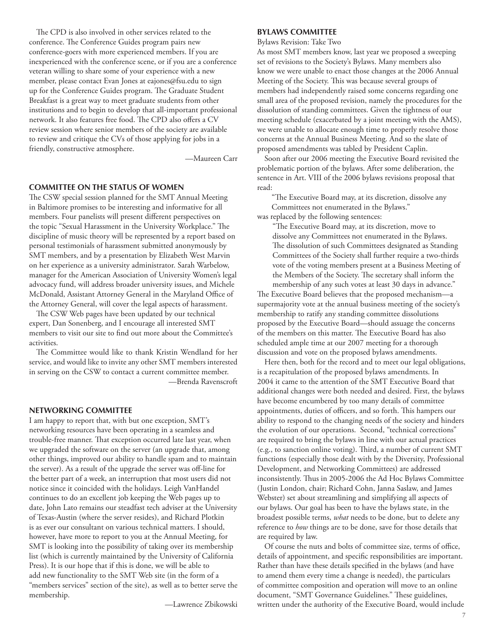The CPD is also involved in other services related to the conference. The Conference Guides program pairs new conference-goers with more experienced members. If you are inexperienced with the conference scene, or if you are a conference veteran willing to share some of your experience with a new member, please contact Evan Jones at [eajones@fsu.edu](mailto:eajones@fsu.edu) to sign up for the Conference Guides program. The Graduate Student Breakfast is a great way to meet graduate students from other institutions and to begin to develop that all-important professional network. It also features free food. The CPD also offers a CV review session where senior members of the society are available to review and critique the CVs of those applying for jobs in a friendly, constructive atmosphere.

—Maureen Carr

## **COMMITTEE ON THE STATUS OF WOMEN**

The CSW special session planned for the SMT Annual Meeting in Baltimore promises to be interesting and informative for all members. Four panelists will present different perspectives on the topic "Sexual Harassment in the University Workplace." The discipline of music theory will be represented by a report based on personal testimonials of harassment submitted anonymously by SMT members, and by a presentation by Elizabeth West Marvin on her experience as a university administrator. Sarah Warbelow, manager for the American Association of University Women's legal advocacy fund, will address broader university issues, and Michele McDonald, Assistant Attorney General in the Maryland Office of the Attorney General, will cover the legal aspects of harassment.

The CSW Web pages have been updated by our technical expert, Dan Sonenberg, and I encourage all interested SMT members to visit our site to find out more about the Committee's activities.

The Committee would like to thank Kristin Wendland for her service, and would like to invite any other SMT members interested in serving on the CSW to contact a current committee member. —Brenda Ravenscroft

## **NETWORKING COMMITTEE**

I am happy to report that, with but one exception, SMT's networking resources have been operating in a seamless and trouble-free manner. That exception occurred late last year, when we upgraded the software on the server (an upgrade that, among other things, improved our ability to handle spam and to maintain the server). As a result of the upgrade the server was off-line for the better part of a week, an interruption that most users did not notice since it coincided with the holidays. Leigh VanHandel continues to do an excellent job keeping the Web pages up to date, John Lato remains our steadfast tech adviser at the University of Texas-Austin (where the server resides), and Richard Plotkin is as ever our consultant on various technical matters. I should, however, have more to report to you at the Annual Meeting, for SMT is looking into the possibility of taking over its membership list (which is currently maintained by the University of California Press). It is our hope that if this is done, we will be able to add new functionality to the SMT Web site (in the form of a "members services" section of the site), as well as to better serve the membership.

—Lawrence Zbikowski

#### **BYLAWS COMMITTEE**

Bylaws Revision: Take Two

As most SMT members know, last year we proposed a sweeping set of revisions to the Society's Bylaws. Many members also know we were unable to enact those changes at the 2006 Annual Meeting of the Society. This was because several groups of members had independently raised some concerns regarding one small area of the proposed revision, namely the procedures for the dissolution of standing committees. Given the tightness of our meeting schedule (exacerbated by a joint meeting with the AMS), we were unable to allocate enough time to properly resolve those concerns at the Annual Business Meeting. And so the slate of proposed amendments was tabled by President Caplin.

Soon after our 2006 meeting the Executive Board revisited the problematic portion of the bylaws. After some deliberation, the sentence in Art. VIII of the 2006 bylaws revisions proposal that read:

"The Executive Board may, at its discretion, dissolve any Committees not enumerated in the Bylaws." was replaced by the following sentences:

"The Executive Board may, at its discretion, move to dissolve any Committees not enumerated in the Bylaws. The dissolution of such Committees designated as Standing Committees of the Society shall further require a two-thirds vote of the voting members present at a Business Meeting of the Members of the Society. The secretary shall inform the membership of any such votes at least 30 days in advance." The Executive Board believes that the proposed mechanism—a supermajority vote at the annual business meeting of the society's membership to ratify any standing committee dissolutions proposed by the Executive Board—should assuage the concerns of the members on this matter. The Executive Board has also scheduled ample time at our 2007 meeting for a thorough discussion and vote on the proposed bylaws amendments.

Here then, both for the record and to meet our legal obligations, is a recapitulation of the proposed bylaws amendments. In 2004 it came to the attention of the SMT Executive Board that additional changes were both needed and desired. First, the bylaws have become encumbered by too many details of committee appointments, duties of officers, and so forth. This hampers our ability to respond to the changing needs of the society and hinders the evolution of our operations. Second, "technical corrections" are required to bring the bylaws in line with our actual practices (e.g., to sanction online voting). Third, a number of current SMT functions (especially those dealt with by the Diversity, Professional Development, and Networking Committees) are addressed inconsistently. Thus in 2005-2006 the Ad Hoc Bylaws Committee (Justin London, chair; Richard Cohn, Janna Saslaw, and James Webster) set about streamlining and simplifying all aspects of our bylaws. Our goal has been to have the bylaws state, in the broadest possible terms, *what* needs to be done, but to delete any reference to *how* things are to be done, save for those details that are required by law.

Of course the nuts and bolts of committee size, terms of office, details of appointment, and specific responsibilities are important. Rather than have these details specified in the bylaws (and have to amend them every time a change is needed), the particulars of committee composition and operation will move to an online document, "SMT Governance Guidelines." These guidelines, written under the authority of the Executive Board, would include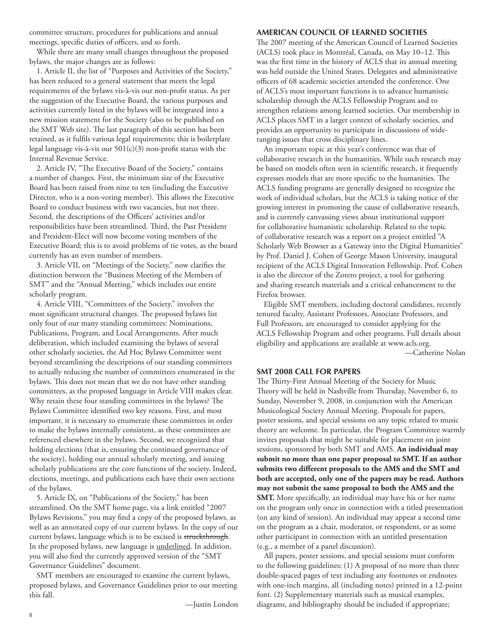committee structure, procedures for publications and annual meetings, specific duties of officers, and so forth.

While there are many small changes throughout the proposed bylaws, the major changes are as follows:

 1. Article II, the list of "Purposes and Activities of the Society," has been reduced to a general statement that meets the legal requirements of the bylaws vis-à-vis our non-profit status. As per the suggestion of the Executive Board, the various purposes and activities currently listed in the bylaws will be integrated into a new mission statement for the Society (also to be published on the SMT Web site). The last paragraph of this section has been retained, as it fulfils various legal requirements; this is boilerplate legal language vis-à-vis our  $501(c)(3)$  non-profit status with the Internal Revenue Service.

2. Article IV, "The Executive Board of the Society," contains a number of changes. First, the minimum size of the Executive Board has been raised from nine to ten (including the Executive Director, who is a non-voting member). This allows the Executive Board to conduct business with two vacancies, but not three. Second, the descriptions of the Officers' activities and/or responsibilities have been streamlined. Third, the Past President and President-Elect will now become voting members of the Executive Board; this is to avoid problems of tie votes, as the board currently has an even number of members.

3. Article VII, on "Meetings of the Society," now clarifies the distinction between the "Business Meeting of the Members of SMT" and the "Annual Meeting," which includes our entire scholarly program.

4. Article VIII, "Committees of the Society," involves the most significant structural changes. The proposed bylaws list only four of our many standing committees: Nominations, Publications, Program, and Local Arrangements. After much deliberation, which included examining the bylaws of several other scholarly societies, the Ad Hoc Bylaws Committee went beyond streamlining the descriptions of our standing committees to actually reducing the number of committees enumerated in the bylaws. This does not mean that we do not have other standing committees, as the proposed language in Article VIII makes clear. Why retain these four standing committees in the bylaws? The Bylaws Committee identified two key reasons. First, and most important, it is necessary to enumerate these committees in order to make the bylaws internally consistent, as these committees are referenced elsewhere in the bylaws. Second, we recognized that holding elections (that is, ensuring the continued governance of the society), holding our annual scholarly meeting, and issuing scholarly publications are the core functions of the society. Indeed, elections, meetings, and publications each have their own sections of the bylaws.

5. Article IX, on "Publications of the Society," has been streamlined. On the SMT home page, via a link entitled "2007 Bylaws Revisions," you may find a copy of the proposed bylaws, as well as an annotated copy of our current bylaws. In the copy of our current bylaws, language which is to be excised is struckthrough. In the proposed bylaws, new language is underlined. In addition, you will also find the currently approved version of the "SMT Governance Guidelines" document.

SMT members are encouraged to examine the current bylaws, proposed bylaws, and Governance Guidelines prior to our meeting this fall.

—Justin London

## **AMERICAN COUNCIL OF LEARNED SOCIETIES**

The 2007 meeting of the American Council of Learned Societies (ACLS) took place in Montréal, Canada, on May 10–12. This was the first time in the history of ACLS that its annual meeting was held outside the United States. Delegates and administrative officers of 68 academic societies attended the conference. One of ACLS's most important functions is to advance humanistic scholarship through the ACLS Fellowship Program and to strengthen relations among learned societies. Our membership in ACLS places SMT in a larger context of scholarly societies, and provides an opportunity to participate in discussions of wideranging issues that cross disciplinary lines.

An important topic at this year's conference was that of collaborative research in the humanities. While such research may be based on models often seen in scientific research, it frequently expresses models that are more specific to the humanities. The ACLS funding programs are generally designed to recognize the work of individual scholars, but the ACLS is taking notice of the growing interest in promoting the cause of collaborative research, and is currently canvassing views about institutional support for collaborative humanistic scholarship. Related to the topic of collaborative research was a report on a project entitled "A Scholarly Web Browser as a Gateway into the Digital Humanities" by Prof. Daniel J. Cohen of George Mason University, inaugural recipient of the ACLS Digital Innovation Fellowship. Prof. Cohen is also the director of the Zotero project, a tool for gathering and sharing research materials and a critical enhancement to the Firefox browser.

Eligible SMT members, including doctoral candidates, recently tenured faculty, Assistant Professors, Associate Professors, and Full Professors, are encouraged to consider applying for the ACLS Fellowship Program and other programs. Full details about eligibility and applications are available at [www.acls.org.](http://www.acls.org) —Catherine Nolan

#### **SMT 2008 CALL FOR PAPERS**

The Thirty-First Annual Meeting of the Society for Music Theory will be held in Nashville from Thursday, November 6, to Sunday, November 9, 2008, in conjunction with the American Musicological Society Annual Meeting. Proposals for papers, poster sessions, and special sessions on any topic related to music theory are welcome. In particular, the Program Committee warmly invites proposals that might be suitable for placement on joint sessions, sponsored by both SMT and AMS. **An individual may submit no more than one paper proposal to SMT. If an author submits two different proposals to the AMS and the SMT and both are accepted, only one of the papers may be read. Authors may not submit the same proposal to both the AMS and the SMT.** More specifically, an individual may have his or her name on the program only once in connection with a titled presentation (on any kind of session). An individual may appear a second time on the program as a chair, moderator, or respondent, or as some other participant in connection with an untitled presentation (e.g., a member of a panel discussion).

All papers, poster sessions, and special sessions must conform to the following guidelines: (1) A proposal of no more than three double-spaced pages of text including any footnotes or endnotes with one-inch margins, all (including notes) printed in a 12-point font. (2) Supplementary materials such as musical examples, diagrams, and bibliography should be included if appropriate;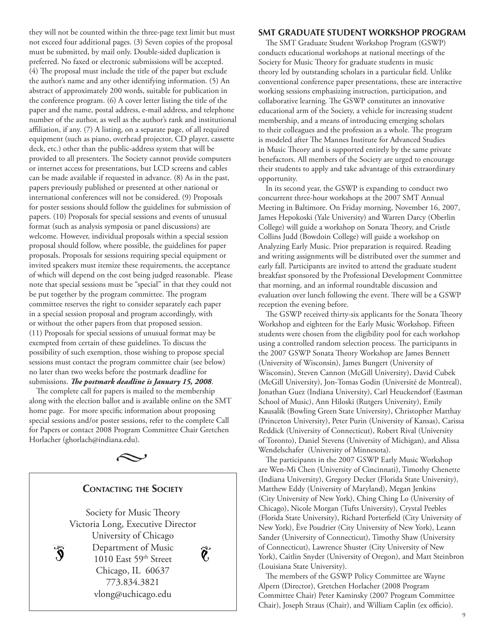they will not be counted within the three-page text limit but must not exceed four additional pages. (3) Seven copies of the proposal must be submitted, by mail only. Double-sided duplication is preferred. No faxed or electronic submissions will be accepted. (4) The proposal must include the title of the paper but exclude the author's name and any other identifying information. (5) An abstract of approximately 200 words, suitable for publication in the conference program. (6) A cover letter listing the title of the paper and the name, postal address, e-mail address, and telephone number of the author, as well as the author's rank and institutional affiliation, if any. (7) A listing, on a separate page, of all required equipment (such as piano, overhead projector, CD player, cassette deck, etc.) other than the public-address system that will be provided to all presenters. The Society cannot provide computers or internet access for presentations, but LCD screens and cables can be made available if requested in advance. (8) As in the past, papers previously published or presented at other national or international conferences will not be considered. (9) Proposals for poster sessions should follow the guidelines for submission of papers. (10) Proposals for special sessions and events of unusual format (such as analysis symposia or panel discussions) are welcome. However, individual proposals within a special session proposal should follow, where possible, the guidelines for paper proposals. Proposals for sessions requiring special equipment or invited speakers must itemize these requirements, the acceptance of which will depend on the cost being judged reasonable. Please note that special sessions must be "special" in that they could not be put together by the program committee. The program committee reserves the right to consider separately each paper in a special session proposal and program accordingly, with or without the other papers from that proposed session. (11) Proposals for special sessions of unusual format may be exempted from certain of these guidelines. To discuss the possibility of such exemption, those wishing to propose special sessions must contact the program committee chair (see below) no later than two weeks before the postmark deadline for submissions. *The postmark deadline is January 15, 2008*.

The complete call for papers is mailed to the membership along with the election ballot and is available online on the SMT home page. For more specific information about proposing special sessions and/or poster sessions, refer to the complete Call for Papers or contact 2008 Program Committee Chair Gretchen Horlacher ([ghorlach@indiana.edu](mailto:ghorlach@indiana.edu)).



## **SMT GRADUATE STUDENT WORKSHOP PROGRAM**

The SMT Graduate Student Workshop Program (GSWP) conducts educational workshops at national meetings of the Society for Music Theory for graduate students in music theory led by outstanding scholars in a particular field. Unlike conventional conference paper presentations, these are interactive working sessions emphasizing instruction, participation, and collaborative learning. The GSWP constitutes an innovative educational arm of the Society, a vehicle for increasing student membership, and a means of introducing emerging scholars to their colleagues and the profession as a whole. The program is modeled after The Mannes Institute for Advanced Studies in Music Theory and is supported entirely by the same private benefactors. All members of the Society are urged to encourage their students to apply and take advantage of this extraordinary opportunity.

In its second year, the GSWP is expanding to conduct two concurrent three-hour workshops at the 2007 SMT Annual Meeting in Baltimore. On Friday morning, November 16, 2007, James Hepokoski (Yale University) and Warren Darcy (Oberlin College) will guide a workshop on Sonata Theory, and Cristle Collins Judd (Bowdoin College) will guide a workshop on Analyzing Early Music. Prior preparation is required. Reading and writing assignments will be distributed over the summer and early fall. Participants are invited to attend the graduate student breakfast sponsored by the Professional Development Committee that morning, and an informal roundtable discussion and evaluation over lunch following the event. There will be a GSWP reception the evening before.

The GSWP received thirty-six applicants for the Sonata Theory Workshop and eighteen for the Early Music Workshop. Fifteen students were chosen from the eligibility pool for each workshop using a controlled random selection process. The participants in the 2007 GSWP Sonata Theory Workshop are James Bennett (University of Wisconsin), James Bungert (University of Wisconsin), Steven Cannon (McGill University), David Cubek (McGill University), Jon-Tomas Godin (Université de Montreal), Jonathan Guez (Indiana University), Carl Heuckendorf (Eastman School of Music), Ann Hiloski (Rutgers University), Emily Kausalik (Bowling Green State University), Christopher Matthay (Princeton University), Peter Purin (University of Kansas), Carissa Reddick (University of Connecticut), Robert Rival (University of Toronto), Daniel Stevens (University of Michigan), and Alissa Wendelschafer (University of Minnesota).

The participants in the 2007 GSWP Early Music Workshop are Wen-Mi Chen (University of Cincinnati), Timothy Chenette (Indiana University), Gregory Decker (Florida State University), Matthew Eddy (University of Maryland), Megan Jenkins (City University of New York), Ching Ching Lo (University of Chicago), Nicole Morgan (Tufts University), Crystal Peebles (Florida State University), Richard Porterfield (City University of New York), Ève Poudrier (City University of New York), Leann Sander (University of Connecticut), Timothy Shaw (University of Connecticut), Lawrence Shuster (City University of New York), Caitlin Snyder (University of Oregon), and Matt Steinbron (Louisiana State University).

The members of the GSWP Policy Committee are Wayne Alpern (Director), Gretchen Horlacher (2008 Program Committee Chair) Peter Kaminsky (2007 Program Committee Chair), Joseph Straus (Chair), and William Caplin (ex officio).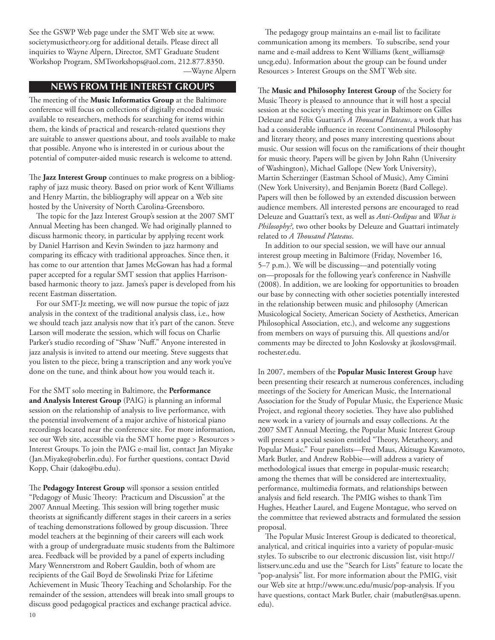See the GSWP Web page under the SMT Web site at [www.](http://www.societymusictheory.org) [societymusictheory.org](http://www.societymusictheory.org) for additional details. Please direct all inquiries to Wayne Alpern, Director, SMT Graduate Student Workshop Program, [SMTworkshops@aol.com](mailto:SMTworkshops@aol.com), 212.877.8350.

## —Wayne Alpern

# **news from the interest groups**

The meeting of the **Music Informatics Group** at the Baltimore conference will focus on collections of digitally encoded music available to researchers, methods for searching for items within them, the kinds of practical and research-related questions they are suitable to answer questions about, and tools available to make that possible. Anyone who is interested in or curious about the potential of computer-aided music research is welcome to attend.

The **Jazz Interest Group** continues to make progress on a bibliography of jazz music theory. Based on prior work of Kent Williams and Henry Martin, the bibliography will appear on a Web site hosted by the University of North Carolina-Greensboro.

The topic for the Jazz Interest Group's session at the 2007 SMT Annual Meeting has been changed. We had originally planned to discuss harmonic theory, in particular by applying recent work by Daniel Harrison and Kevin Swinden to jazz harmony and comparing its efficacy with traditional approaches. Since then, it has come to our attention that James McGowan has had a formal paper accepted for a regular SMT session that applies Harrisonbased harmonic theory to jazz. James's paper is developed from his recent Eastman dissertation.

For our SMT-Jz meeting, we will now pursue the topic of jazz analysis in the context of the traditional analysis class, i.e., how we should teach jazz analysis now that it's part of the canon. Steve Larson will moderate the session, which will focus on Charlie Parker's studio recording of "Shaw 'Nuff." Anyone interested in jazz analysis is invited to attend our meeting. Steve suggests that you listen to the piece, bring a transcription and any work you've done on the tune, and think about how you would teach it.

For the SMT solo meeting in Baltimore, the **Performance and Analysis Interest Group** (PAIG) is planning an informal session on the relationship of analysis to live performance, with the potential involvement of a major archive of historical piano recordings located near the conference site. For more information, see our Web site, accessible via the SMT home page > Resources > Interest Groups. To join the PAIG e-mail list, contact Jan Miyake ([Jan.Miyake@oberlin.edu\)](mailto:Jan.Miyake@oberlin.edu). For further questions, contact David Kopp, Chair [\(dako@bu.edu](mailto:smt-talk-owner@societymusictheory.org)).

The **Pedagogy Interest Group** will sponsor a session entitled "Pedagogy of Music Theory: Practicum and Discussion" at the 2007 Annual Meeting. This session will bring together music theorists at significantly different stages in their careers in a series of teaching demonstrations followed by group discussion. Three model teachers at the beginning of their careers will each work with a group of undergraduate music students from the Baltimore area. Feedback will be provided by a panel of experts including Mary Wennerstrom and Robert Gauldin, both of whom are recipients of the Gail Boyd de Stwolinski Prize for Lifetime Achievement in Music Theory Teaching and Scholarship. For the remainder of the session, attendees will break into small groups to discuss good pedagogical practices and exchange practical advice.

The pedagogy group maintains an e-mail list to facilitate communication among its members. To subscribe, send your name and e-mail address to Kent Williams ([kent\\_williams@](mailto:kent_williams@uncg.edu) [uncg.edu\)](mailto:kent_williams@uncg.edu). Information about the group can be found under Resources > Interest Groups on the SMT Web site.

The **Music and Philosophy Interest Group** of the Society for Music Theory is pleased to announce that it will host a special session at the society's meeting this year in Baltimore on Gilles Deleuze and Félix Guattari's *A Thousand Plateaus*, a work that has had a considerable influence in recent Continental Philosophy and literary theory, and poses many interesting questions about music. Our session will focus on the ramifications of their thought for music theory. Papers will be given by John Rahn (University of Washington), Michael Gallope (New York University), Martin Scherzinger (Eastman School of Music), Amy Cimini (New York University), and Benjamin Boretz (Bard College). Papers will then be followed by an extended discussion between audience members. All interested persons are encouraged to read Deleuze and Guattari's text, as well as *Anti-Oedipus* and *What is Philosophy?*, two other books by Deleuze and Guattari intimately related to *A Thousand Plateaus*.

In addition to our special session, we will have our annual interest group meeting in Baltimore (Friday, November 16, 5–7 p.m.). We will be discussing—and potentially voting on—proposals for the following year's conference in Nashville (2008). In addition, we are looking for opportunities to broaden our base by connecting with other societies potentially interested in the relationship between music and philosophy (American Musicological Society, American Society of Aesthetics, American Philosophical Association, etc.), and welcome any suggestions from members on ways of pursuing this. All questions and/or comments may be directed to John Koslovsky at [jkoslovs@mail.](mailto:jkoslovs@mail.rochester.edu) [rochester.edu.](mailto:jkoslovs@mail.rochester.edu)

In 2007, members of the **Popular Music Interest Group** have been presenting their research at numerous conferences, including meetings of the Society for American Music, the International Association for the Study of Popular Music, the Experience Music Project, and regional theory societies. They have also published new work in a variety of journals and essay collections. At the 2007 SMT Annual Meeting, the Popular Music Interest Group will present a special session entitled "Theory, Metatheory, and Popular Music." Four panelists—Fred Maus, Akitsugu Kawamoto, Mark Butler, and Andrew Robbie—will address a variety of methodological issues that emerge in popular-music research; among the themes that will be considered are intertextuality, performance, multimedia formats, and relationships between analysis and field research. The PMIG wishes to thank Tim Hughes, Heather Laurel, and Eugene Montague, who served on the committee that reviewed abstracts and formulated the session proposal.

The Popular Music Interest Group is dedicated to theoretical, analytical, and critical inquiries into a variety of popular-music styles. To subscribe to our electronic discussion list, visit [http://](http://listserv.unc.edu) [listserv.unc.edu](http://listserv.unc.edu) and use the "Search for Lists" feature to locate the "pop-analysis" list. For more information about the PMIG, visit our Web site at [http://www.unc.edu/music/pop-analysis.](http://www.unc.edu/music/pop-analysis) If you have questions, contact Mark Butler, chair ([mabutler@sas.upenn.](mailto:mabutler@sas.upenn.edu) [edu](mailto:mabutler@sas.upenn.edu)).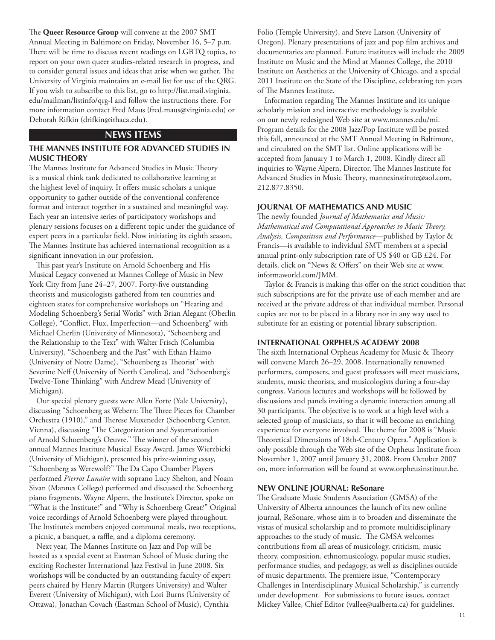The **Queer Resource Group** will convene at the 2007 SMT Annual Meeting in Baltimore on Friday, November 16, 5–7 p.m. There will be time to discuss recent readings on LGBTQ topics, to report on your own queer studies-related research in progress, and to consider general issues and ideas that arise when we gather. The University of Virginia maintains an e-mail list for use of the QRG. If you wish to subscribe to this list, go to [http://list.mail.virginia.](http://list.mail.virginia.edu/mailman/listinfo/qrg-l) [edu/mailman/listinfo/qrg-l](http://list.mail.virginia.edu/mailman/listinfo/qrg-l) and follow the instructions there. For more information contact Fred Maus [\(fred.maus@virginia.edu](mailto:fred.maus@virginia.edu)) or Deborah Rifkin ([drifkin@ithaca.edu](mailto:drifkin@ithaca.edu)).

## **NEWS ITEMS**

## **The Mannes Institute for Advanced Studies in Music Theory**

The Mannes Institute for Advanced Studies in Music Theory is a musical think tank dedicated to collaborative learning at the highest level of inquiry. It offers music scholars a unique opportunity to gather outside of the conventional conference format and interact together in a sustained and meaningful way. Each year an intensive series of participatory workshops and plenary sessions focuses on a different topic under the guidance of expert peers in a particular field. Now initiating its eighth season, The Mannes Institute has achieved international recognition as a significant innovation in our profession.

This past year's Institute on Arnold Schoenberg and His Musical Legacy convened at Mannes College of Music in New York City from June 24–27, 2007. Forty-five outstanding theorists and musicologists gathered from ten countries and eighteen states for comprehensive workshops on "Hearing and Modeling Schoenberg's Serial Works" with Brian Alegant (Oberlin College), "Conflict, Flux, Imperfection—and Schoenberg" with Michael Cherlin (University of Minnesota), "Schoenberg and the Relationship to the Text" with Walter Frisch (Columbia University), "Schoenberg and the Past" with Ethan Haimo (University of Notre Dame), "Schoenberg as Theorist" with Severine Neff (University of North Carolina), and "Schoenberg's Twelve-Tone Thinking" with Andrew Mead (University of Michigan).

Our special plenary guests were Allen Forte (Yale University), discussing "Schoenberg as Webern: The Three Pieces for Chamber Orchestra (1910)," and Therese Muxeneder (Schoenberg Center, Vienna), discussing "The Categorization and Systematization of Arnold Schoenberg's Oeuvre." The winner of the second annual Mannes Institute Musical Essay Award, James Wierzbicki (University of Michigan), presented his prize-winning essay, "Schoenberg as Werewolf?" The Da Capo Chamber Players performed *Pierrot Lunaire* with soprano Lucy Shelton, and Noam Sivan (Mannes College) performed and discussed the Schoenberg piano fragments. Wayne Alpern, the Institute's Director, spoke on "What is the Institute?" and "Why is Schoenberg Great?" Original voice recordings of Arnold Schoenberg were played throughout. The Institute's members enjoyed communal meals, two receptions, a picnic, a banquet, a raffle, and a diploma ceremony.

Next year, The Mannes Institute on Jazz and Pop will be hosted as a special event at Eastman School of Music during the exciting Rochester International Jazz Festival in June 2008. Six workshops will be conducted by an outstanding faculty of expert peers chaired by Henry Martin (Rutgers University) and Walter Everett (University of Michigan), with Lori Burns (University of Ottawa), Jonathan Covach (Eastman School of Music), Cynthia

Folio (Temple University), and Steve Larson (University of Oregon). Plenary presentations of jazz and pop film archives and documentaries are planned. Future institutes will include the 2009 Institute on Music and the Mind at Mannes College, the 2010 Institute on Aesthetics at the University of Chicago, and a special 2011 Institute on the State of the Discipline, celebrating ten years of The Mannes Institute.

Information regarding The Mannes Institute and its unique scholarly mission and interactive methodology is available on our newly redesigned Web site at [www.mannes.edu/mi.](http://www.mannes.edu/mi) Program details for the 2008 Jazz/Pop Institute will be posted this fall, announced at the SMT Annual Meeting in Baltimore, and circulated on the SMT list. Online applications will be accepted from January 1 to March 1, 2008. Kindly direct all inquiries to Wayne Alpern, Director, The Mannes Institute for Advanced Studies in Music Theory, [mannesinstitute@aol.com,](mailto:mannesinstitute@aol.com) 212.877.8350.

#### **JOURNAL OF MATHEMATICS AND MUSIC**

The newly founded *Journal of Mathematics and Music: Mathematical and Computational Approaches to Music Theory, Analysis, Composition and Performance*—published by Taylor & Francis—is available to individual SMT members at a special annual print-only subscription rate of US \$40 or GB £24. For details, click on "News & Offers" on their Web site at [www.](https://webmail.manchester.ac.uk/horde/services/go.php?url=http%3A%2F%2Fwww.informaworld.com%2FJMM) [informaworld.com/JMM.](https://webmail.manchester.ac.uk/horde/services/go.php?url=http%3A%2F%2Fwww.informaworld.com%2FJMM)

Taylor & Francis is making this offer on the strict condition that such subscriptions are for the private use of each member and are received at the private address of that individual member. Personal copies are not to be placed in a library nor in any way used to substitute for an existing or potential library subscription.

## **international orpheus academy 2008**

The sixth International Orpheus Academy for Music & Theory will convene March 26–29, 2008. Internationally renowned performers, composers, and guest professors will meet musicians, students, music theorists, and musicologists during a four-day congress. Various lectures and workshops will be followed by discussions and panels inviting a dynamic interaction among all 30 participants. The objective is to work at a high level with a selected group of musicians, so that it will become an enriching experience for everyone involved. The theme for 2008 is "Music Theoretical Dimensions of 18th-Century Opera." Application is only possible through the Web site of the Orpheus Institute from November 1, 2007 until January 31, 2008. From October 2007 on, more information will be found at<www.orpheusinstituut.be>.

### **NEW ONLINE JOURNAL: ReSonare**

The Graduate Music Students Association (GMSA) of the University of Alberta announces the launch of its new online journal, ReSonare, whose aim is to broaden and disseminate the vistas of musical scholarship and to promote multidisciplinary approaches to the study of music. The GMSA welcomes contributions from all areas of musicology, criticism, music theory, composition, ethnomusicology, popular music studies, performance studies, and pedagogy, as well as disciplines outside of music departments. The premiere issue, "Contemporary Challenges in Interdisciplinary Musical Scholarship," is currently under development. For submissions to future issues, contact Mickey Vallee, Chief Editor ([vallee@ualberta.ca](mailto:vallee@ualberta.ca)) for guidelines.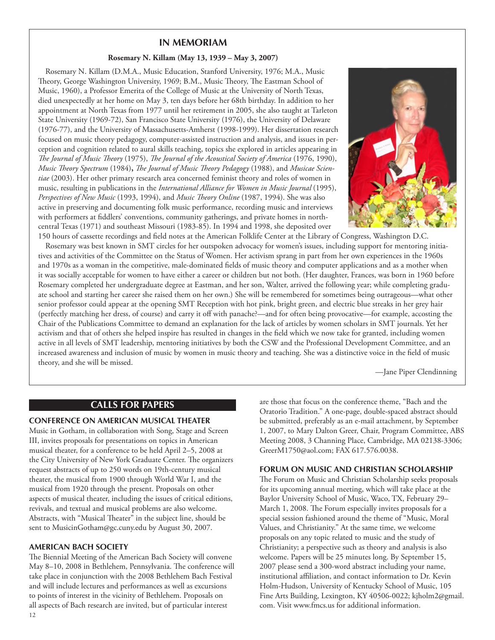## **IN MEMORIAM**

## **Rosemary N. Killam (May 13, 1939 – May 3, 2007)**

Rosemary N. Killam (D.M.A., Music Education, Stanford University, 1976; M.A., Music Theory, George Washington University, 1969; B.M., Music Theory, The Eastman School of Music, 1960), a Professor Emerita of the College of Music at the University of North Texas, died unexpectedly at her home on May 3, ten days before her 68th birthday. In addition to her appointment at North Texas from 1977 until her retirement in 2005, she also taught at Tarleton State University (1969-72), San Francisco State University (1976), the University of Delaware (1976-77), and the University of Massachusetts-Amherst (1998-1999). Her dissertation research focused on music theory pedagogy, computer-assisted instruction and analysis, and issues in perception and cognition related to aural skills teaching, topics she explored in articles appearing in *The Journal of Music Theory* (1975), *The Journal of the Acoustical Society of America* (1976, 1990), *Music Theory Spectrum* (1984)**,** *The Journal of Music Theory Pedagogy* (1988), and *Musicae Scientiae* (2003). Her other primary research area concerned feminist theory and roles of women in music, resulting in publications in the *International Alliance for Women in Music Journal* (1995), *Perspectives of New Music* (1993, 1994), and *Music Theory Online* (1987, 1994). She was also active in preserving and documenting folk music performance, recording music and interviews with performers at fiddlers' conventions, community gatherings, and private homes in northcentral Texas (1971) and southeast Missouri (1983-85). In 1994 and 1998, she deposited over



150 hours of cassette recordings and field notes at the American Folklife Center at the Library of Congress, Washington D.C. Rosemary was best known in SMT circles for her outspoken advocacy for women's issues, including support for mentoring initiatives and activities of the Committee on the Status of Women. Her activism sprang in part from her own experiences in the 1960s and 1970s as a woman in the competitive, male-dominated fields of music theory and computer applications and as a mother when it was socially acceptable for women to have either a career or children but not both. (Her daughter, Frances, was born in 1960 before Rosemary completed her undergraduate degree at Eastman, and her son, Walter, arrived the following year; while completing graduate school and starting her career she raised them on her own.) She will be remembered for sometimes being outrageous—what other senior professor could appear at the opening SMT Reception with hot pink, bright green, and electric blue streaks in her grey hair (perfectly matching her dress, of course) and carry it off with panache?—and for often being provocative—for example, accosting the Chair of the Publications Committee to demand an explanation for the lack of articles by women scholars in SMT journals. Yet her activism and that of others she helped inspire has resulted in changes in the field which we now take for granted, including women active in all levels of SMT leadership, mentoring initiatives by both the CSW and the Professional Development Committee, and an increased awareness and inclusion of music by women in music theory and teaching. She was a distinctive voice in the field of music theory, and she will be missed.

—Jane Piper Clendinning

# **calls for paperS**

#### **CONFERENCE ON AMERICAN MUSICAL THEATER**

Music in Gotham, in collaboration with Song, Stage and Screen III, invites proposals for presentations on topics in American musical theater, for a conference to be held April 2–5, 2008 at the City University of New York Graduate Center. The organizers request abstracts of up to 250 words on 19th-century musical theater, the musical from 1900 through World War I, and the musical from 1920 through the present. Proposals on other aspects of musical theater, including the issues of critical editions, revivals, and textual and musical problems are also welcome. Abstracts, with "Musical Theater" in the subject line, should be sent to [MusicinGotham@gc.cuny.edu](mailto:MusicinGotham@gc.cuny.edu) by August 30, 2007.

#### **AMERICAN BACH SOCIETY**

12 The Biennial Meeting of the American Bach Society will convene May 8–10, 2008 in Bethlehem, Pennsylvania. The conference will take place in conjunction with the 2008 Bethlehem Bach Festival and will include lectures and performances as well as excursions to points of interest in the vicinity of Bethlehem. Proposals on all aspects of Bach research are invited, but of particular interest

are those that focus on the conference theme, "Bach and the Oratorio Tradition." A one-page, double-spaced abstract should be submitted, preferably as an e-mail attachment, by September 1, 2007, to Mary Dalton Greer, Chair, Program Committee, ABS Meeting 2008, 3 Channing Place, Cambridge, MA 02138-3306; [GreerM1750@aol.com](mailto:GreerM1750@aol.com); FAX 617.576.0038.

#### **FORUM ON MUSIC AND CHRISTIAN SCHOLARSHIP**

The Forum on Music and Christian Scholarship seeks proposals for its upcoming annual meeting, which will take place at the Baylor University School of Music, Waco, TX, February 29– March 1, 2008. The Forum especially invites proposals for a special session fashioned around the theme of "Music, Moral Values, and Christianity." At the same time, we welcome proposals on any topic related to music and the study of Christianity; a perspective such as theory and analysis is also welcome. Papers will be 25 minutes long. By September 15, 2007 please send a 300-word abstract including your name, institutional affiliation, and contact information to Dr. Kevin Holm-Hudson, University of Kentucky School of Music, 105 Fine Arts Building, Lexington, KY 40506-0022; [kjholm2@gmail.](mailto:kjholm2@gmail.com) [com.](mailto:kjholm2@gmail.com) Visit [www.fmcs.us](http://www.fmcs.us) for additional information.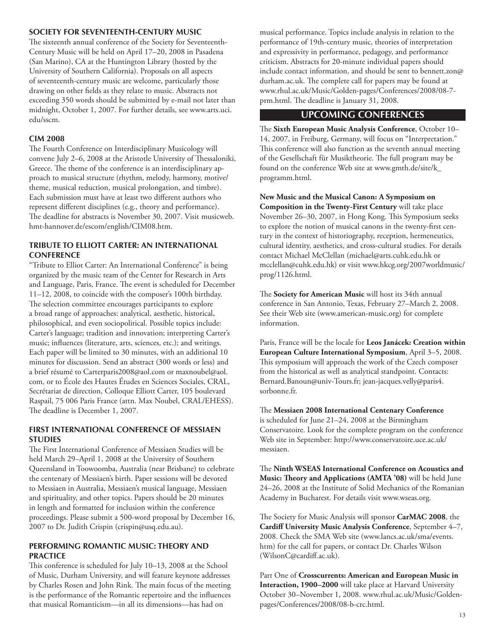## **SOCIETY FOR SEVENTEENTH-CENTURY MUSIC**

The sixteenth annual conference of the Society for Seventeenth-Century Music will be held on April 17–20, 2008 in Pasadena (San Marino), CA at the Huntington Library (hosted by the University of Southern California). Proposals on all aspects of seventeenth-century music are welcome, particularly those drawing on other fields as they relate to music. Abstracts not exceeding 350 words should be submitted by e-mail not later than midnight, October 1, 2007. For further details, see [www.arts.uci.](http://www.arts.uci.edu/sscm) [edu/sscm.](http://www.arts.uci.edu/sscm)

## **CIM 2008**

The Fourth Conference on Interdisciplinary Musicology will convene July 2–6, 2008 at the Aristotle University of Thessaloniki, Greece. The theme of the conference is an interdisciplinary approach to musical structure (rhythm, melody, harmony, motive/ theme, musical reduction, musical prolongation, and timbre). Each submission must have at least two different authors who represent different disciplines (e.g., theory and performance). The deadline for abstracts is November 30, 2007. Visit [musicweb.](http://musicweb.hmt-hannover.de/escom/english/CIM08.htm) [hmt-hannover.de/escom/english/CIM08.htm](http://musicweb.hmt-hannover.de/escom/english/CIM08.htm).

## **TRIBUTE TO ELLIOTT CARTER: AN INTERNATIONAL CONFERENCE**

"Tribute to Elliot Carter: An International Conference" is being organized by the music team of the Center for Research in Arts and Language, Paris, France. The event is scheduled for December 11–12, 2008, to coincide with the composer's 100th birthday. The selection committee encourages participants to explore a broad range of approaches: analytical, aesthetic, historical, philosophical, and even sociopolitical. Possible topics include: Carter's language; tradition and innovation; interpreting Carter's music; influences (literature, arts, sciences, etc.); and writings. Each paper will be limited to 30 minutes, with an additional 10 minutes for discussion. Send an abstract (300 words or less) and a brief résumé to [Carterparis2008@aol.com](mailto:Carterparis2008@aol.com) or [maxnoubel@aol.](mailto:maxnoubel@aol.com) [com,](mailto:maxnoubel@aol.com) or to École des Hautes Études en Sciences Sociales, CRAL, Secrétariat de direction, Colloque Elliott Carter, 105 boulevard Raspail, 75 006 Paris France (attn. Max Noubel, CRAL/EHESS). The deadline is December 1, 2007.

## **FIRST INTERNATIONAL CONFERENCE OF MESSIAEN STUDIES**

The First International Conference of Messiaen Studies will be held March 29–April 1, 2008 at the University of Southern Queensland in Toowoomba, Australia (near Brisbane) to celebrate the centenary of Messiaen's birth. Paper sessions will be devoted to Messiaen in Australia, Messiaen's musical language, Messiaen and spirituality, and other topics. Papers should be 20 minutes in length and formatted for inclusion within the conference proceedings. Please submit a 500-word proposal by December 16, 2007 to Dr. Judith Crispin ([crispin@usq.edu.au\)](mailto:crispin@usq.edu.au).

## **PERFORMING ROMANTIC MUSIC: THEORY AND PRACTICE**

This conference is scheduled for July 10–13, 2008 at the School of Music, Durham University, and will feature keynote addresses by Charles Rosen and John Rink. The main focus of the meeting is the performance of the Romantic repertoire and the influences that musical Romanticism—in all its dimensions—has had on

musical performance. Topics include analysis in relation to the performance of 19th-century music, theories of interpretation and expressivity in performance, pedagogy, and performance criticism. Abstracts for 20-minute individual papers should include contact information, and should be sent to [bennett.zon@](mailto:bennett.zon@durham.ac.uk) [durham.ac.uk.](mailto:bennett.zon@durham.ac.uk) The complete call for papers may be found at [www.rhul.ac.uk/Music/Golden-pages/Conferences/2008/08-7](http://www.rhul.ac.uk/Music/Golden-pages/Conferences/2008/08-7-prm.html) [prm.html.](http://www.rhul.ac.uk/Music/Golden-pages/Conferences/2008/08-7-prm.html) The deadline is January 31, 2008.

# **upcoming conferences**

The **Sixth European Music Analysis Conference**, October 10– 14, 2007, in Freiburg, Germany, will focus on "Interpretation." This conference will also function as the seventh annual meeting of the Gesellschaft für Musiktheorie. The full program may be found on the conference Web site at [www.gmth.de/site/k\\_](http://www.gmth.de/site/k_programm.html) [programm.html](http://www.gmth.de/site/k_programm.html).

**New Music and the Musical Canon: A Symposium on Composition in the Twenty-First Century** will take place November 26–30, 2007, in Hong Kong. This Symposium seeks to explore the notion of musical canons in the twenty-first century in the context of historiography, reception, hermeneutics, cultural identity, aesthetics, and cross-cultural studies. For details contact Michael McClellan [\(michael@arts.cuhk.edu.hk](mailto:michael@arts.cuhk.edu.hk) or [mcclellan@cuhk.edu.hk\)](mailto:mcclellan@cuhk.edu.hk) or visit [www.hkcg.org/2007worldmusic/](http://www.hkcg.org/2007worldmusic/prog/1126.html) [prog/1126.html](http://www.hkcg.org/2007worldmusic/prog/1126.html).

The **Society for American Music** will host its 34th annual conference in San Antonio, Texas, February 27–March 2, 2008. See their Web site ([www.american-music.org\)](http://www.american-music.org) for complete information.

Paris, France will be the locale for **Leos Janácek: Creation within European Culture International Symposium**, April 3–5, 2008. This symposium will approach the work of the Czech composer from the historical as well as analytical standpoint. Contacts: [Bernard.Banoun@univ-Tours.fr;](mailto:Bernard.Banoun@univ-Tours.fr) [jean-jacques.velly@paris4.](mailto:jean-jacques.velly@paris4.sorbonne.fr) [sorbonne.fr](mailto:jean-jacques.velly@paris4.sorbonne.fr).

The **Messiaen 2008 International Centenary Conference** is scheduled for June 21–24, 2008 at the Birmingham Conservatoire. Look for the complete program on the conference Web site in September: [http://www.conservatoire.uce.ac.uk/](http://www.conservatoire.uce.ac.uk/messiaen) [messiaen.](http://www.conservatoire.uce.ac.uk/messiaen)

The **Ninth WSEAS International Conference on Acoustics and Music: Theory and Applications (AMTA '08)** will be held June 24–26, 2008 at the Institute of Solid Mechanics of the Romanian Academy in Bucharest. For details visit [www.wseas.org](http://www.wseas.org).

The Society for Music Analysis will sponsor **CarMAC 2008**, the **Cardiff University Music Analysis Conference**, September 4–7, 2008. Check the SMA Web site ([www.lancs.ac.uk/sma/events.](http://www.lancs.ac.uk/sma/events.htm) [htm](http://www.lancs.ac.uk/sma/events.htm)) for the call for papers, or contact Dr. Charles Wilson ([WilsonC@cardiff.ac.uk\)](mailto:WilsonC@cardiff.ac.uk).

Part One of **Crosscurrents: American and European Music in Interaction, 1900–2000** will take place at Harvard University October 30–November 1, 2008. [www.rhul.ac.uk/Music/Golden](www.rhul.ac.uk/Music/Golden-pages/Conferences/2008/08-b-crc.html)[pages/Conferences/2008/08-b-crc.html](www.rhul.ac.uk/Music/Golden-pages/Conferences/2008/08-b-crc.html).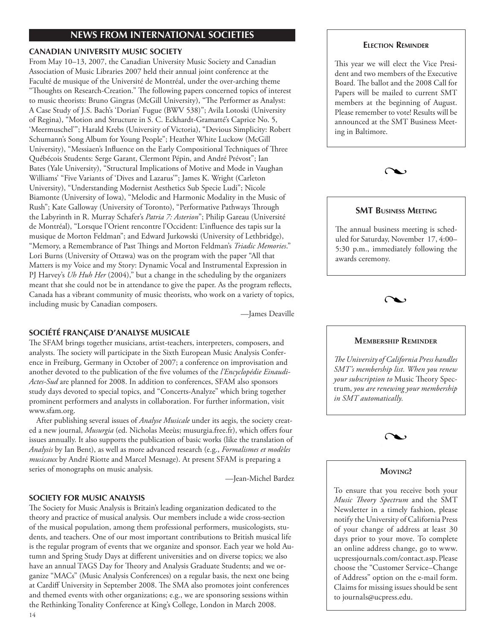# **news from international societies**

## **CANADIAN UNIVERSITY MUSIC SOCIETY**

From May 10–13, 2007, the Canadian University Music Society and Canadian Association of Music Libraries 2007 held their annual joint conference at the Faculté de musique of the Université de Montréal, under the over-arching theme "Thoughts on Research-Creation." The following papers concerned topics of interest to music theorists: Bruno Gingras (McGill University), "The Performer as Analyst: A Case Study of J.S. Bach's 'Dorian' Fugue (BWV 538)"; Avila Lotoski (University of Regina), "Motion and Structure in S. C. Eckhardt-Gramatté's Caprice No. 5, 'Meermuschel'"; Harald Krebs (University of Victoria), "Devious Simplicity: Robert Schumann's Song Album for Young People"; Heather White Luckow (McGill University), "Messiaen's Influence on the Early Compositional Techniques of Three Québécois Students: Serge Garant, Clermont Pépin, and André Prévost"; Ian Bates (Yale University), "Structural Implications of Motive and Mode in Vaughan Williams' "Five Variants of 'Dives and Lazarus'"; James K. Wright (Carleton University), "Understanding Modernist Aesthetics Sub Specie Ludi"; Nicole Biamonte (University of Iowa), "Melodic and Harmonic Modality in the Music of Rush"; Kate Galloway (University of Toronto), "Performative Pathways Through the Labyrinth in R. Murray Schafer's *Patria 7: Asterion*"; Philip Gareau (Université de Montréal), "Lorsque l'Orient rencontre l'Occident: L'influence des tapis sur la musique de Morton Feldman"; and Edward Jurkowski (University of Lethbridge), "Memory, a Remembrance of Past Things and Morton Feldman's *Triadic Memories*." Lori Burns (University of Ottawa) was on the program with the paper "All that Matters is my Voice and my Story: Dynamic Vocal and Instrumental Expression in PJ Harvey's *Uh Huh Her* (2004)," but a change in the scheduling by the organizers meant that she could not be in attendance to give the paper. As the program reflects, Canada has a vibrant community of music theorists, who work on a variety of topics, including music by Canadian composers.

—James Deaville

# **SOCIÉTÉ FRANÇAISE D'ANALYSE MUSICALE**

The SFAM brings together musicians, artist-teachers, interpreters, composers, and analysts. The society will participate in the Sixth European Music Analysis Conference in Freiburg, Germany in October of 2007; a conference on improvisation and another devoted to the publication of the five volumes of the *l'Encyclopédie Einaudi-Actes-Sud* are planned for 2008. In addition to conferences, SFAM also sponsors study days devoted to special topics, and "Concerts-Analyze" which bring together prominent performers and analysts in collaboration. For further information, visit [www.sfam.org.](http://www.sfam.org)

After publishing several issues of *Analyse Musicale* under its aegis, the society created a new journal, *Musurgia* (ed. Nicholas Meeùs; [musurgia.free.fr\)](http://musurgia.free.fr), which offers four issues annually. It also supports the publication of basic works (like the translation of *Analysis* by Ian Bent), as well as more advanced research (e.g., *Formalismes et modèles musicaux* by André Riotte and Marcel Mesnage). At present SFAM is preparing a series of monographs on music analysis.

—Jean-Michel Bardez

## **SOCIETY FOR MUSIC ANALYSIS**

The Society for Music Analysis is Britain's leading organization dedicated to the theory and practice of musical analysis. Our members include a wide cross-section of the musical population, among them professional performers, musicologists, students, and teachers. One of our most important contributions to British musical life is the regular program of events that we organize and sponsor. Each year we hold Autumn and Spring Study Days at different universities and on diverse topics; we also have an annual TAGS Day for Theory and Analysis Graduate Students; and we organize "MACs" (Music Analysis Conferences) on a regular basis, the next one being at Cardiff University in September 2008. The SMA also promotes joint conferences and themed events with other organizations; e.g., we are sponsoring sessions within the Rethinking Tonality Conference at King's College, London in March 2008.

## **Election Reminder**

This year we will elect the Vice President and two members of the Executive Board. The ballot and the 2008 Call for Papers will be mailed to current SMT members at the beginning of August. Please remember to vote! Results will be announced at the SMT Business Meeting in Baltimore.



## **SMT Business Meeting**

The annual business meeting is scheduled for Saturday, November 17, 4:00– 5:30 p.m., immediately following the awards ceremony.



#### **Membership Reminder**

*The University of California Press handles SMT's membership list. When you renew your subscription to* Music Theory Spectrum, *you are renewing your membership in SMT automatically.*



## **Moving?**

To ensure that you receive both your *Music Theory Spectrum* and the SMT Newsletter in a timely fashion, please notify the University of California Press of your change of address at least 30 days prior to your move. To complete an online address change, go to [www.](http://www.ucpressjournals.com/contact.asp) [ucpressjournals.com/contact.asp.](http://www.ucpressjournals.com/contact.asp) Please choose the "Customer Service–Change of Address" option on the e-mail form. Claims for missing issues should be sent to journals@ucpress.edu.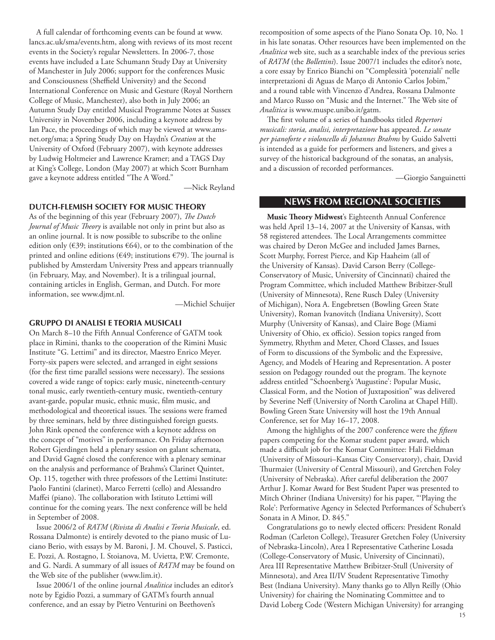A full calendar of forthcoming events can be found at [www.](http://www.lancs.ac.uk/sma/events.htm) [lancs.ac.uk/sma/events.htm,](http://www.lancs.ac.uk/sma/events.htm) along with reviews of its most recent events in the Society's regular Newsletters. In 2006-7, those events have included a Late Schumann Study Day at University of Manchester in July 2006; support for the conferences Music and Consciousness (Sheffield University) and the Second International Conference on Music and Gesture (Royal Northern College of Music, Manchester), also both in July 2006; an Autumn Study Day entitled Musical Programme Notes at Sussex University in November 2006, including a keynote address by Ian Pace, the proceedings of which may be viewed at [www.ams](http://www.ams-net.org/sma)[net.org/sma;](http://www.ams-net.org/sma) a Spring Study Day on Haydn's *Creation* at the University of Oxford (February 2007), with keynote addresses by Ludwig Holtmeier and Lawrence Kramer; and a TAGS Day at King's College, London (May 2007) at which Scott Burnham gave a keynote address entitled "The A Word."

—Nick Reyland

#### **DUTCH-FLEMISH SOCIETY FOR MUSIC THEORY**

As of the beginning of this year (February 2007), *The Dutch Journal of Music Theory* is available not only in print but also as an online journal. It is now possible to subscribe to the online edition only (€39; institutions €64), or to the combination of the printed and online editions ( $\epsilon$ 49; institutions  $\epsilon$ 79). The journal is published by Amsterdam University Press and appears triannually (in February, May, and November). It is a trilingual journal, containing articles in English, German, and Dutch. For more information, see [www.djmt.nl.](http://www.djmt.nl)

—Michiel Schuijer

## **GRUPPO DI ANALISI E TEORIA MUSICALI**

On March 8–10 the Fifth Annual Conference of GATM took place in Rimini, thanks to the cooperation of the Rimini Music Institute "G. Lettimi" and its director, Maestro Enrico Meyer. Forty-six papers were selected, and arranged in eight sessions (for the first time parallel sessions were necessary). The sessions covered a wide range of topics: early music, nineteenth-century tonal music, early twentieth-century music, twentieth-century avant-garde, popular music, ethnic music, film music, and methodological and theoretical issues. The sessions were framed by three seminars, held by three distinguished foreign guests. John Rink opened the conference with a keynote address on the concept of "motives" in performance. On Friday afternoon Robert Gjerdingen held a plenary session on galant schemata, and David Gagné closed the conference with a plenary seminar on the analysis and performance of Brahms's Clarinet Quintet, Op. 115, together with three professors of the Lettimi Institute: Paolo Fantini (clarinet), Marco Ferretti (cello) and Alessandro Maffei (piano). The collaboration with Istituto Lettimi will continue for the coming years. The next conference will be held in September of 2008.

Issue 2006/2 of *RATM* (*Rivista di Analisi e Teoria Musicale*, ed. Rossana Dalmonte) is entirely devoted to the piano music of Luciano Berio, with essays by M. Baroni, J. M. Chouvel, S. Pasticci, E. Pozzi, A. Rostagno, I. Stoianova, M. Uvietta, P.W. Cremonte, and G. Nardi. A summary of all issues of *RATM* may be found on the Web site of the publisher ([www.lim.it](http://www.lim.it)).

Issue 2006/1 of the online journal *Analitica* includes an editor's note by Egidio Pozzi, a summary of GATM's fourth annual conference, and an essay by Pietro Venturini on Beethoven's

recomposition of some aspects of the Piano Sonata Op. 10, No. 1 in his late sonatas. Other resources have been implemented on the *Analitica* web site, such as a searchable index of the previous series of *RATM* (the *Bollettini*). Issue 2007/1 includes the editor's note, a core essay by Enrico Bianchi on "Complessità 'potenziali' nelle interpretazioni di Aguas de Março di Antonio Carlos Jobim," and a round table with Vincenzo d'Andrea, Rossana Dalmonte and Marco Russo on "Music and the Internet." The Web site of *Analitica* is [www.muspe.unibo.it/gatm.](http://www.muspe.unibo.it/gatm)

The first volume of a series of handbooks titled *Repertori musicali: storia, analisi, interpretazione* has appeared. *Le sonate per pianoforte e violoncello di Johannes Brahms* by Guido Salvetti is intended as a guide for performers and listeners, and gives a survey of the historical background of the sonatas, an analysis, and a discussion of recorded performances.

—Giorgio Sanguinetti

## **news from regional societies**

**Music Theory Midwest**'s Eighteenth Annual Conference was held April 13–14, 2007 at the University of Kansas, with 58 registered attendees. The Local Arrangements committee was chaired by Deron McGee and included James Barnes, Scott Murphy, Forrest Pierce, and Kip Haaheim (all of the University of Kansas). David Carson Berry (College-Conservatory of Music, University of Cincinnati) chaired the Program Committee, which included Matthew Bribitzer-Stull (University of Minnesota), Rene Rusch Daley (University of Michigan), Nora A. Engebretsen (Bowling Green State University), Roman Ivanovitch (Indiana University), Scott Murphy (University of Kansas), and Claire Boge (Miami University of Ohio, ex officio). Session topics ranged from Symmetry, Rhythm and Meter, Chord Classes, and Issues of Form to discussions of the Symbolic and the Expressive, Agency, and Models of Hearing and Representation. A poster session on Pedagogy rounded out the program. The keynote address entitled "Schoenberg's 'Augustine': Popular Music, Classical Form, and the Notion of Juxtaposition" was delivered by Severine Neff (University of North Carolina at Chapel Hill). Bowling Green State University will host the 19th Annual Conference, set for May 16–17, 2008.

Among the highlights of the 2007 conference were the *fifteen* papers competing for the Komar student paper award, which made a difficult job for the Komar Committee: Hali Fieldman (University of Missouri–Kansas City Conservatory), chair, David Thurmaier (University of Central Missouri), and Gretchen Foley (University of Nebraska). After careful deliberation the 2007 Arthur J. Komar Award for Best Student Paper was presented to Mitch Ohriner (Indiana University) for his paper, "'Playing the Role': Performative Agency in Selected Performances of Schubert's Sonata in A Minor, D. 845."

Congratulations go to newly elected officers: President Ronald Rodman (Carleton College), Treasurer Gretchen Foley (University of Nebraska-Lincoln), Area I Representative Catherine Losada (College-Conservatory of Music, University of Cincinnati), Area III Representative Matthew Bribitzer-Stull (University of Minnesota), and Area II/IV Student Representative Timothy Best (Indiana University). Many thanks go to Allyn Reilly (Ohio University) for chairing the Nominating Committee and to David Loberg Code (Western Michigan University) for arranging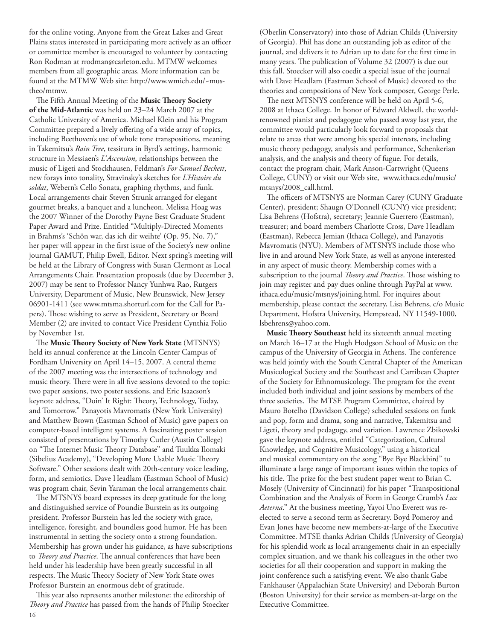for the online voting. Anyone from the Great Lakes and Great Plains states interested in participating more actively as an officer or committee member is encouraged to volunteer by contacting Ron Rodman at [rrodman@carleton.edu](mailto:rrodman@carleton.edu). MTMW welcomes members from all geographic areas. More information can be found at the MTMW Web site: [http://www.wmich.edu/~mus](http://www.wmich.edu/~mus-theo/mtmw)[theo/mtmw.](http://www.wmich.edu/~mus-theo/mtmw)

The Fifth Annual Meeting of the **Music Theory Society of the Mid-Atlantic** was held on 23–24 March 2007 at the Catholic University of America. Michael Klein and his Program Committee prepared a lively offering of a wide array of topics, including Beethoven's use of whole tone transpositions, meaning in Takemitsu's *Rain Tree*, tessitura in Byrd's settings, harmonic structure in Messiaen's *L'Ascension*, relationships between the music of Ligeti and Stockhausen, Feldman's *For Samuel Beckett*, new forays into tonality, Stravinsky's sketches for *L'Histoire du soldat*, Webern's Cello Sonata, graphing rhythms, and funk. Local arrangements chair Steven Strunk arranged for elegant gourmet breaks, a banquet and a luncheon. Melissa Hoag was the 2007 Winner of the Dorothy Payne Best Graduate Student Paper Award and Prize. Entitled "Multiply-Directed Moments in Brahms's 'Schön war, das ich dir weihte' (Op. 95, No. 7)," her paper will appear in the first issue of the Society's new online journal GAMUT, Philip Ewell, Editor. Next spring's meeting will be held at the Library of Congress with Susan Clermont as Local Arrangements Chair. Presentation proposals (due by December 3, 2007) may be sent to Professor Nancy Yunhwa Rao, Rutgers University, Department of Music, New Brunswick, New Jersey 06901-1411 (see [www.mtsma.shorturl.com](http://www.mtsma.shorturl.com) for the Call for Papers). Those wishing to serve as President, Secretary or Board Member (2) are invited to contact Vice President Cynthia Folio by November 1st.

The **Music Theory Society of New York State** (MTSNYS) held its annual conference at the Lincoln Center Campus of Fordham University on April 14–15, 2007. A central theme of the 2007 meeting was the intersections of technology and music theory. There were in all five sessions devoted to the topic: two paper sessions, two poster sessions, and Eric Isaacson's keynote address, "Doin' It Right: Theory, Technology, Today, and Tomorrow." Panayotis Mavromatis (New York University) and Matthew Brown (Eastman School of Music) gave papers on computer-based intelligent systems. A fascinating poster session consisted of presentations by Timothy Cutler (Austin College) on "The Internet Music Theory Database" and Tuukka Ilomaki (Sibelius Academy), "Developing More Usable Music Theory Software." Other sessions dealt with 20th-century voice leading, form, and semiotics. Dave Headlam (Eastman School of Music) was program chair, Sevin Yaraman the local arrangements chair.

The MTSNYS board expresses its deep gratitude for the long and distinguished service of Poundie Burstein as its outgoing president. Professor Burstein has led the society with grace, intelligence, foresight, and boundless good humor. He has been instrumental in setting the society onto a strong foundation. Membership has grown under his guidance, as have subscriptions to *Theory and Practice*. The annual conferences that have been held under his leadership have been greatly successful in all respects. The Music Theory Society of New York State owes Professor Burstein an enormous debt of gratitude.

16 This year also represents another milestone: the editorship of *Theory and Practice* has passed from the hands of Philip Stoecker

(Oberlin Conservatory) into those of Adrian Childs (University of Georgia). Phil has done an outstanding job as editor of the journal, and delivers it to Adrian up to date for the first time in many years. The publication of Volume 32 (2007) is due out this fall. Stoecker will also coedit a special issue of the journal with Dave Headlam (Eastman School of Music) devoted to the theories and compositions of New York composer, George Perle.

The next MTSNYS conference will be held on April 5-6, 2008 at Ithaca College. In honor of Edward Aldwell, the worldrenowned pianist and pedagogue who passed away last year, the committee would particularly look forward to proposals that relate to areas that were among his special interests, including music theory pedagogy, analysis and performance, Schenkerian analysis, and the analysis and theory of fugue. For details, contact the program chair, Mark Anson-Cartwright (Queens College, CUNY) or visit our Web site, [www.ithaca.edu/music/](http://www.ithaca.edu:music:mtsnys:2008_call.html) [mtsnys/2008\\_call.html](http://www.ithaca.edu:music:mtsnys:2008_call.html).

The officers of MTSNYS are Norman Carey (CUNY Graduate Center), president; Shaugn O'Donnell (CUNY) vice president; Lisa Behrens (Hofstra), secretary; Jeannie Guerrero (Eastman), treasurer; and board members Charlotte Cross, Dave Headlam (Eastman), Rebecca Jemian (Ithaca College), and Panayotis Mavromatis (NYU). Members of MTSNYS include those who live in and around New York State, as well as anyone interested in any aspect of music theory. Membership comes with a subscription to the journal *Theory and Practice*. Those wishing to join may register and pay dues online through PayPal at [www.](http://www.ithaca.edu/music/mtsnys/joining.html) [ithaca.edu/music/mtsnys/joining.html.](http://www.ithaca.edu/music/mtsnys/joining.html) For inquires about membership, please contact the secretary, Lisa Behrens, c/o Music Department, Hofstra University, Hempstead, NY 11549-1000, [lsbehrens@yahoo.com.](mailto:lsbehrens@yahoo.com)

**Music Theory Southeast** held its sixteenth annual meeting on March 16–17 at the Hugh Hodgson School of Music on the campus of the University of Georgia in Athens. The conference was held jointly with the South Central Chapter of the American Musicological Society and the Southeast and Carribean Chapter of the Society for Ethnomusicology. The program for the event included both individual and joint sessions by members of the three societies. The MTSE Program Committee, chaired by Mauro Botelho (Davidson College) scheduled sessions on funk and pop, form and drama, song and narrative, Takemitsu and Ligeti, theory and pedagogy, and variation. Lawrence Zbikowski gave the keynote address, entitled "Categorization, Cultural Knowledge, and Cognitive Musicology," using a historical and musical commentary on the song "Bye Bye Blackbird" to illuminate a large range of important issues within the topics of his title. The prize for the best student paper went to Brian C. Mosely (University of Cincinnati) for his paper "Transpositional Combination and the Analysis of Form in George Crumb's *Lux Aeterna*." At the business meeting, Yayoi Uno Everett was reelected to serve a second term as Secretary. Boyd Pomeroy and Evan Jones have become new members-at-large of the Executive Committee. MTSE thanks Adrian Childs (University of Georgia) for his splendid work as local arrangements chair in an especially complex situation, and we thank his colleagues in the other two societies for all their cooperation and support in making the joint conference such a satisfying event. We also thank Gabe Fankhauser (Appalachian State University) and Deborah Burton (Boston University) for their service as members-at-large on the Executive Committee.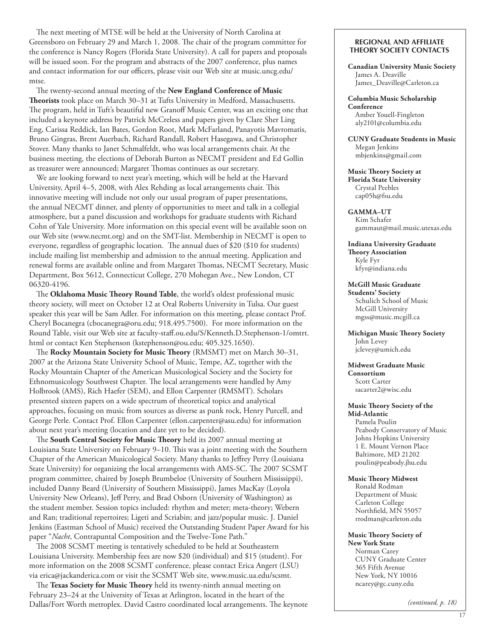The next meeting of MTSE will be held at the University of North Carolina at Greensboro on February 29 and March 1, 2008. The chair of the program committee for the conference is Nancy Rogers (Florida State University). A call for papers and proposals will be issued soon. For the program and abstracts of the 2007 conference, plus names and contact information for our officers, please visit our Web site at [music.uncg.edu/](http://music.uncg.edu/mtse) [mtse](http://music.uncg.edu/mtse).

The twenty-second annual meeting of the **New England Conference of Music Theorists** took place on March 30–31 at Tufts University in Medford, Massachusetts. The program, held in Tuft's beautiful new Granoff Music Center, was an exciting one that included a keynote address by Patrick McCreless and papers given by Clare Sher Ling Eng, Carissa Reddick, Ian Bates, Gordon Root, Mark McFarland, Panayotis Mavromatis, Bruno Gingras, Brent Auerbach, Richard Randall, Robert Hasegawa, and Christopher Stover. Many thanks to Janet Schmalfeldt, who was local arrangements chair. At the business meeting, the elections of Deborah Burton as NECMT president and Ed Gollin as treasurer were announced; Margaret Thomas continues as our secretary.

We are looking forward to next year's meeting, which will be held at the Harvard University, April 4–5, 2008, with Alex Rehding as local arrangements chair. This innovative meeting will include not only our usual program of paper presentations, the annual NECMT dinner, and plenty of opportunities to meet and talk in a collegial atmosphere, but a panel discussion and workshops for graduate students with Richard Cohn of Yale University. More information on this special event will be available soon on our Web site [\(www.necmt.org](http://www.necmt.org)) and on the SMT-list. Membership in NECMT is open to everyone, regardless of geographic location. The annual dues of \$20 (\$10 for students) include mailing list membership and admission to the annual meeting. Application and renewal forms are available online and from Margaret Thomas, NECMT Secretary, Music Department, Box 5612, Connecticut College, 270 Mohegan Ave., New London, CT 06320-4196.

The **Oklahoma Music Theory Round Table**, the world's oldest professional music theory society, will meet on October 12 at Oral Roberts University in Tulsa. Our guest speaker this year will be Sam Adler. For information on this meeting, please contact Prof. Cheryl Bocanegra ([cbocanegra@oru.edu](mailto:cbocanegra@oru.edu); 918.495.7500). For more information on the Round Table, visit our Web site at [faculty-staff.ou.edu/S/Kenneth.D.Stephenson-1/omtrt.](http://faculty-staff.ou.edu/S/Kenneth.D.Stephenson-1/omtrt.html) [html](http://faculty-staff.ou.edu/S/Kenneth.D.Stephenson-1/omtrt.html) or contact Ken Stephenson [\(kstephenson@ou.edu](mailto:kstephenson@ou.edu); 405.325.1650).

The **Rocky Mountain Society for Music Theory** (RMSMT) met on March 30–31, 2007 at the Arizona State University School of Music, Tempe, AZ, together with the Rocky Mountain Chapter of the American Musicological Society and the Society for Ethnomusicology Southwest Chapter. The local arrangements were handled by Amy Holbrook (AMS), Rich Haefer (SEM), and Ellon Carpenter (RMSMT). Scholars presented sixteen papers on a wide spectrum of theoretical topics and analytical approaches, focusing on music from sources as diverse as punk rock, Henry Purcell, and George Perle. Contact Prof. Ellon Carpenter ([ellon.carpenter@asu.edu](mailto:ellon.carpenter@asu.edu)) for information about next year's meeting (location and date yet to be decided).

The **South Central Society for Music Theory** held its 2007 annual meeting at Louisiana State University on February 9–10. This was a joint meeting with the Southern Chapter of the American Musicological Society. Many thanks to Jeffrey Perry (Louisiana State University) for organizing the local arrangements with AMS-SC. The 2007 SCSMT program committee, chaired by Joseph Brumbeloe (University of Southern Mississippi), included Danny Beard (University of Southern Mississippi), James MacKay (Loyola University New Orleans), Jeff Perry, and Brad Osborn (University of Washington) as the student member. Session topics included: rhythm and meter; meta-theory; Webern and Ran; traditional repertoires; Ligeti and Scriabin; and jazz/popular music. J. Daniel Jenkins (Eastman School of Music) received the Outstanding Student Paper Award for his paper "*Nacht*, Contrapuntal Composition and the Twelve-Tone Path."

The 2008 SCSMT meeting is tentatively scheduled to be held at Southeastern Louisiana University. Membership fees are now \$20 (individual) and \$15 (student). For more information on the 2008 SCSMT conference, please contact Erica Angert (LSU) via [erica@jackanderica.com](mailto:erica@jackanderica.com) or visit the SCSMT Web site, [www.music.ua.edu/scsmt](http://www.music.ua.edu/scsmt).

The **Texas Society for Music Theory** held its twenty-ninth annual meeting on February 23–24 at the University of Texas at Arlington, located in the heart of the Dallas/Fort Worth metroplex. David Castro coordinated local arrangements. The keynote

#### **Regional and Affiliate Theory Society Contacts**

**Canadian University Music Society** James A. Deaville [James\\_Deaville@Carleton.ca](mailto:James_Deaville@Carleton.ca )

**Columbia Music Scholarship Conference** Amber Youell-Fingleton [aly2101@columbia.edu](mailto:aly2101@columbia.edu)

**CUNY Graduate Students in Music** Megan Jenkins [mbjenkins@gmail.com](mailto:mbjenkins@gmail.com)

**Music Theory Society at Florida State University** Crystal Peebles [cap05h@fsu.edu](mailto:cap05h@fsu.edu)

**GAMMA–UT** Kim Schafer [gammaut@mail.music.utexas.edu](mailto:gammaut@mail.music.utexas.edu)

**Indiana University Graduate Theory Association** Kyle Fyr [kfyr@indiana.edu](mailto:kfyr@indiana.edu)

**McGill Music Graduate Students' Society** Schulich School of Music McGill University [mgss@music.mcgill.ca](mailto:mgss@music.mcgill.ca)

**Michigan Music Theory Society**  John Levey [jclevey@umich.edu](mailto:jclevey@umich.edu)

**Midwest Graduate Music** 

**Consortium** Scott Carter [sacarter2@wisc.edu](mailto:sacarter2@wisc.edu)

#### **Music Theory Society of the Mid-Atlantic**

Pamela Poulin Peabody Conservatory of Music Johns Hopkins University 1 E. Mount Vernon Place Baltimore, MD 21202 [poulin@peabody.jhu.edu](mailto:poulin@peabody.jhu.edu)

**Music Theory Midwest**

Ronald Rodman Department of Music Carleton College Northfield, MN 55057 [rrodman@carleton.edu](mailto:rrodman@carleton.edu)

**Music Theory Society of New York State** Norman Carey

CUNY Graduate Center 365 Fifth Avenue New York, NY 10016 [ncarey@gc.cuny.edu](mailto:ncarey@gc.cuny.edu)

*(continued, p. 18)*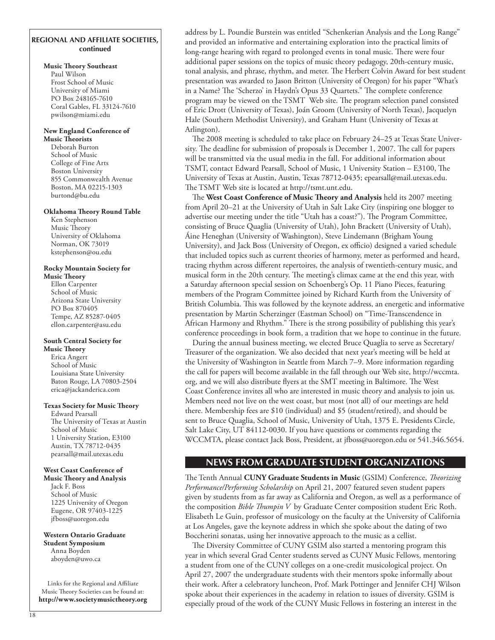## **Regional and affiliate societies, continued**

#### **Music Theory Southeast**

Paul Wilson Frost School of Music University of Miami PO Box 248165-7610 Coral Gables, FL 33124-7610 [pwilson@miami.edu](mailto:pwilson@miami.edu)

#### **New England Conference of Music Theorists**

Deborah Burton School of Music College of Fine Arts Boston University 855 Commonwealth Avenue Boston, MA 02215-1303 [burtond@bu.edu](mailto:burtond@bu.edu)

#### **Oklahoma Theory Round Table**

Ken Stephenson Music Theory University of Oklahoma Norman, OK 73019 [kstephenson@ou.edu](mailto:kstephenson@ou.edu)

## **Rocky Mountain Society for**

**Music Theory** Ellon Carpenter School of Music Arizona State University PO Box 870405 Tempe, AZ 85287-0405 [ellon.carpenter@asu.edu](mailto:ellon.carpenter@asu.edu)

#### **South Central Society for Music Theory**

Erica Angert School of Music Louisiana State University Baton Rouge, LA 70803-2504 [erica@jackanderica.com](mailto:erica@jackanderica.com)

#### **Texas Society for Music Theory**

Edward Pearsall The University of Texas at Austin School of Music 1 University Station, E3100 Austin, TX 78712-0435 [pearsall@mail.utexas.edu](mailto:pearsall@mail.utexas.edu)

#### **West Coast Conference of**

**Music Theory and Analysis** Jack F. Boss School of Music 1225 University of Oregon Eugene, OR 97403-1225 [jfboss@uoregon.edu](mailto:jfboss@uoregon.edu)

**Western Ontario Graduate Student Symposium** Anna Boyden [aboyden@uwo.ca](mailto:aboyden@uwo.ca)

Links for the Regional and Affiliate Music Theory Societies can be found at: **<http://www.societymusictheory.org>** address by L. Poundie Burstein was entitled "Schenkerian Analysis and the Long Range" and provided an informative and entertaining exploration into the practical limits of long-range hearing with regard to prolonged events in tonal music. There were four additional paper sessions on the topics of music theory pedagogy, 20th-century music, tonal analysis, and phrase, rhythm, and meter. The Herbert Colvin Award for best student presentation was awarded to Jason Britton (University of Oregon) for his paper "What's in a Name? The 'Scherzo' in Haydn's Opus 33 Quartets." The complete conference program may be viewed on the TSMT Web site. The program selection panel consisted of Eric Drott (University of Texas), Joán Groom (University of North Texas), Jacquelyn Hale (Southern Methodist University), and Graham Hunt (University of Texas at Arlington).

The 2008 meeting is scheduled to take place on February 24–25 at Texas State University. The deadline for submission of proposals is December 1, 2007. The call for papers will be transmitted via the usual media in the fall. For additional information about TSMT, contact Edward Pearsall, School of Music, 1 University Station – E3100, The University of Texas at Austin, Austin, Texas 78712-0435; [epearsall@mail.utexas.edu.](mailto:epearsall@mail.utexas.edu) The TSMT Web site is located at [http://tsmt.unt.edu.](http://tsmt.unt.edu)

The **West Coast Conference of Music Theory and Analysis** held its 2007 meeting from April 20–21 at the University of Utah in Salt Lake City (inspiring one blogger to advertise our meeting under the title "Utah has a coast?"). The Program Committee, consisting of Bruce Quaglia (University of Utah), John Brackett (University of Utah), Áine Heneghan (University of Washington), Steve Lindemann (Brigham Young University), and Jack Boss (University of Oregon, ex officio) designed a varied schedule that included topics such as current theories of harmony, meter as performed and heard, tracing rhythm across different repertoires, the analysis of twentieth-century music, and musical form in the 20th century. The meeting's climax came at the end this year, with a Saturday afternoon special session on Schoenberg's Op. 11 Piano Pieces, featuring members of the Program Committee joined by Richard Kurth from the University of British Columbia. This was followed by the keynote address, an energetic and informative presentation by Martin Scherzinger (Eastman School) on "Time-Transcendence in African Harmony and Rhythm." There is the strong possibility of publishing this year's conference proceedings in book form, a tradition that we hope to continue in the future.

During the annual business meeting, we elected Bruce Quaglia to serve as Secretary/ Treasurer of the organization. We also decided that next year's meeting will be held at the University of Washington in Seattle from March 7–9. More information regarding the call for papers will become available in the fall through our Web site, [http://wccmta.](http://wccmta.org) [org,](http://wccmta.org) and we will also distribute flyers at the SMT meeting in Baltimore. The West Coast Conference invites all who are interested in music theory and analysis to join us. Members need not live on the west coast, but most (not all) of our meetings are held there. Membership fees are \$10 (individual) and \$5 (student/retired), and should be sent to Bruce Quaglia, School of Music, University of Utah, 1375 E. Presidents Circle, Salt Lake City, UT 84112-0030. If you have questions or comments regarding the WCCMTA, please contact Jack Boss, President, at jfboss@uoregon.edu or 541.346.5654.

# **news from graduate student organizations**

The Tenth Annual **CUNY Graduate Students in Music** (GSIM) Conference, *Theorizing Performance/Performing Scholarship* on April 21, 2007 featured seven student papers given by students from as far away as California and Oregon, as well as a performance of the composition *Bible Thumpin V* by Graduate Center composition student Eric Roth. Elisabeth Le Guin, professor of musicology on the faculty at the University of California at Los Angeles, gave the keynote address in which she spoke about the dating of two Boccherini sonatas, using her innovative approach to the music as a cellist.

The Diversity Committee of CUNY GSIM also started a mentoring program this year in which several Grad Center students served as CUNY Music Fellows, mentoring a student from one of the CUNY colleges on a one-credit musicological project. On April 27, 2007 the undergraduate students with their mentors spoke informally about their work. After a celebratory luncheon, Prof. Mark Pottinger and Jennifer CHJ Wilson spoke about their experiences in the academy in relation to issues of diversity. GSIM is especially proud of the work of the CUNY Music Fellows in fostering an interest in the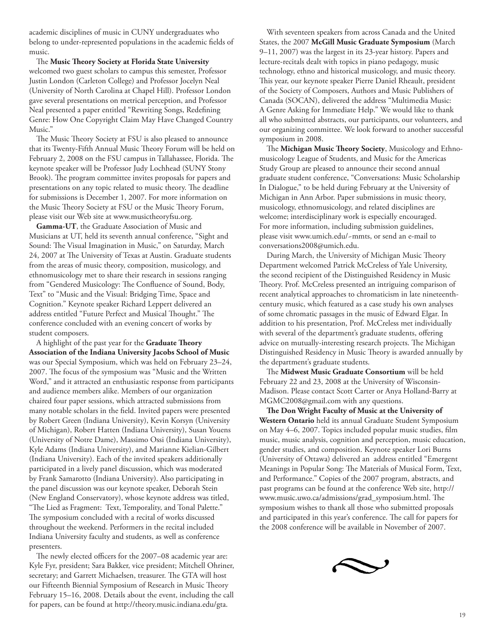academic disciplines of music in CUNY undergraduates who belong to under-represented populations in the academic fields of music.

The **Music Theory Society at Florida State University** welcomed two guest scholars to campus this semester, Professor Justin London (Carleton College) and Professor Jocelyn Neal (University of North Carolina at Chapel Hill). Professor London gave several presentations on metrical perception, and Professor Neal presented a paper entitled "Rewriting Songs, Redefining Genre: How One Copyright Claim May Have Changed Country Music."

The Music Theory Society at FSU is also pleased to announce that its Twenty-Fifth Annual Music Theory Forum will be held on February 2, 2008 on the FSU campus in Tallahassee, Florida. The keynote speaker will be Professor Judy Lochhead (SUNY Stony Brook). The program committee invites proposals for papers and presentations on any topic related to music theory. The deadline for submissions is December 1, 2007. For more information on the Music Theory Society at FSU or the Music Theory Forum, please visit our Web site at [www.musictheoryfsu.org](http://www.musictheoryfsu.org).

**Gamma-UT**, the Graduate Association of Music and Musicians at UT, held its seventh annual conference, "Sight and Sound: The Visual Imagination in Music," on Saturday, March 24, 2007 at The University of Texas at Austin. Graduate students from the areas of music theory, composition, musicology, and ethnomusicology met to share their research in sessions ranging from "Gendered Musicology: The Confluence of Sound, Body, Text" to "Music and the Visual: Bridging Time, Space and Cognition." Keynote speaker Richard Leppert delivered an address entitled "Future Perfect and Musical Thought." The conference concluded with an evening concert of works by student composers.

A highlight of the past year for the **Graduate Theory Association of the Indiana University Jacobs School of Music** was our Special Symposium, which was held on February 23–24, 2007. The focus of the symposium was "Music and the Written Word," and it attracted an enthusiastic response from participants and audience members alike. Members of our organization chaired four paper sessions, which attracted submissions from many notable scholars in the field. Invited papers were presented by Robert Green (Indiana University), Kevin Korsyn (University of Michigan), Robert Hatten (Indiana University), Susan Youens (University of Notre Dame), Massimo Ossi (Indiana University), Kyle Adams (Indiana University), and Marianne Kielian-Gilbert (Indiana University). Each of the invited speakers additionally participated in a lively panel discussion, which was moderated by Frank Samarotto (Indiana University). Also participating in the panel discussion was our keynote speaker, Deborah Stein (New England Conservatory), whose keynote address was titled, "The Lied as Fragment: Text, Temporality, and Tonal Palette." The symposium concluded with a recital of works discussed throughout the weekend. Performers in the recital included Indiana University faculty and students, as well as conference presenters.

The newly elected officers for the 2007–08 academic year are: Kyle Fyr, president; Sara Bakker, vice president; Mitchell Ohriner, secretary; and Garrett Michaelsen, treasurer. The GTA will host our Fifteenth Biennial Symposium of Research in Music Theory February 15–16, 2008. Details about the event, including the call for papers, can be found at <http://theory.music.indiana.edu/gta>.

With seventeen speakers from across Canada and the United States, the 2007 **McGill Music Graduate Symposium** (March 9–11, 2007) was the largest in its 23-year history. Papers and lecture-recitals dealt with topics in piano pedagogy, music technology, ethno and historical musicology, and music theory. This year, our keynote speaker Pierre Daniel Rheault, president of the Society of Composers, Authors and Music Publishers of Canada (SOCAN), delivered the address "Multimedia Music: A Genre Asking for Immediate Help." We would like to thank all who submitted abstracts, our participants, our volunteers, and our organizing committee. We look forward to another successful symposium in 2008.

The **Michigan Music Theory Society**, Musicology and Ethnomusicology League of Students, and Music for the Americas Study Group are pleased to announce their second annual graduate student conference, "Conversations: Music Scholarship In Dialogue," to be held during February at the University of Michigan in Ann Arbor. Paper submissions in music theory, musicology, ethnomusicology, and related disciplines are welcome; interdisciplinary work is especially encouraged. For more information, including submission guidelines, please visit [www.umich.edu/~mmts,](http://www.umich.edu/~mmts) or send an e-mail to [conversations2008@umich.edu.](mailto:conversations2008@umich.edu)

During March, the University of Michigan Music Theory Department welcomed Patrick McCreless of Yale University, the second recipient of the Distinguished Residency in Music Theory. Prof. McCreless presented an intriguing comparison of recent analytical approaches to chromaticism in late nineteenthcentury music, which featured as a case study his own analyses of some chromatic passages in the music of Edward Elgar. In addition to his presentation, Prof. McCreless met individually with several of the department's graduate students, offering advice on mutually-interesting research projects. The Michigan Distinguished Residency in Music Theory is awarded annually by the department's graduate students.

The **Midwest Music Graduate Consortium** will be held February 22 and 23, 2008 at the University of Wisconsin-Madison. Please contact Scott Carter or Anya Holland-Barry at [MGMC2008@gmail.com](mailto:MGMC2008@gmail.com) with any questions.

**The Don Wright Faculty of Music at the University of Western Ontario** held its annual Graduate Student Symposium on May 4–6, 2007. Topics included popular music studies, film music, music analysis, cognition and perception, music education, gender studies, and composition. Keynote speaker Lori Burns (University of Ottawa) delivered an address entitled "Emergent Meanings in Popular Song: The Materials of Musical Form, Text, and Performance." Copies of the 2007 program, abstracts, and past programs can be found at the conference Web site, [http://](http://www.music.uwo.ca/admissions/grad_symposium.html) [www.music.uwo.ca/admissions/grad\\_symposium.html](http://www.music.uwo.ca/admissions/grad_symposium.html). The symposium wishes to thank all those who submitted proposals and participated in this year's conference. The call for papers for the 2008 conference will be available in November of 2007.